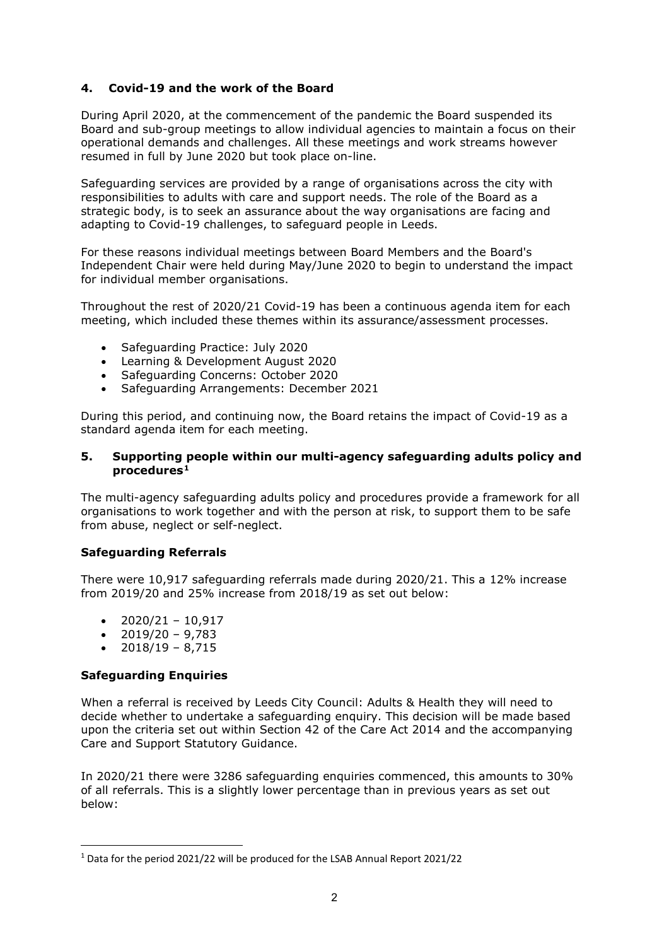# **4. Covid-19 and the work of the Board**

During April 2020, at the commencement of the pandemic the Board suspended its Board and sub-group meetings to allow individual agencies to maintain a focus on their operational demands and challenges. All these meetings and work streams however resumed in full by June 2020 but took place on-line.

Safeguarding services are provided by a range of organisations across the city with responsibilities to adults with care and support needs. The role of the Board as a strategic body, is to seek an assurance about the way organisations are facing and adapting to Covid-19 challenges, to safeguard people in Leeds.

For these reasons individual meetings between Board Members and the Board's Independent Chair were held during May/June 2020 to begin to understand the impact for individual member organisations.

Throughout the rest of 2020/21 Covid-19 has been a continuous agenda item for each meeting, which included these themes within its assurance/assessment processes.

- Safeguarding Practice: July 2020
- Learning & Development August 2020
- Safeguarding Concerns: October 2020
- Safeguarding Arrangements: December 2021

During this period, and continuing now, the Board retains the impact of Covid-19 as a standard agenda item for each meeting.

#### **5. Supporting people within our multi-agency safeguarding adults policy and procedures[1](#page-1-0)**

The multi-agency safeguarding adults policy and procedures provide a framework for all organisations to work together and with the person at risk, to support them to be safe from abuse, neglect or self-neglect.

#### **Safeguarding Referrals**

There were 10,917 safeguarding referrals made during 2020/21. This a 12% increase from 2019/20 and 25% increase from 2018/19 as set out below:

- $2020/21 10,917$
- $\bullet$  2019/20 9.783
- $2018/19 8,715$

#### **Safeguarding Enquiries**

When a referral is received by Leeds City Council: Adults & Health they will need to decide whether to undertake a safeguarding enquiry. This decision will be made based upon the criteria set out within Section 42 of the Care Act 2014 and the accompanying Care and Support Statutory Guidance.

In 2020/21 there were 3286 safeguarding enquiries commenced, this amounts to 30% of all referrals. This is a slightly lower percentage than in previous years as set out below:

<span id="page-1-0"></span><sup>1</sup> Data for the period 2021/22 will be produced for the LSAB Annual Report 2021/22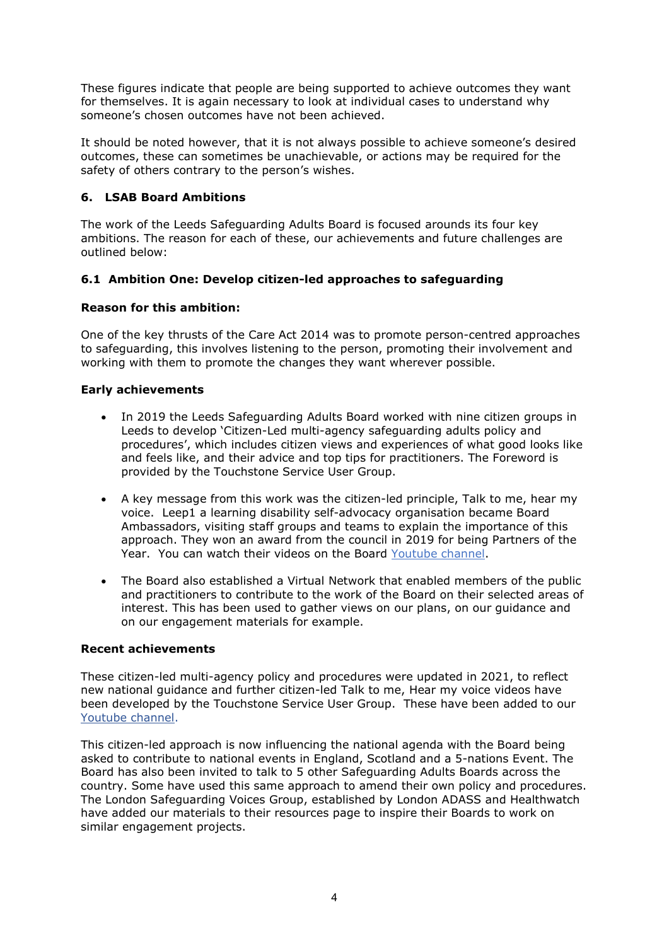These figures indicate that people are being supported to achieve outcomes they want for themselves. It is again necessary to look at individual cases to understand why someone's chosen outcomes have not been achieved.

It should be noted however, that it is not always possible to achieve someone's desired outcomes, these can sometimes be unachievable, or actions may be required for the safety of others contrary to the person's wishes.

# **6. LSAB Board Ambitions**

The work of the Leeds Safeguarding Adults Board is focused arounds its four key ambitions. The reason for each of these, our achievements and future challenges are outlined below:

# **6.1 Ambition One: Develop citizen-led approaches to safeguarding**

# **Reason for this ambition:**

One of the key thrusts of the Care Act 2014 was to promote person-centred approaches to safeguarding, this involves listening to the person, promoting their involvement and working with them to promote the changes they want wherever possible.

# **Early achievements**

- In 2019 the Leeds Safeguarding Adults Board worked with nine citizen groups in Leeds to develop 'Citizen-Led multi-agency safeguarding adults policy and procedures', which includes citizen views and experiences of what good looks like and feels like, and their advice and top tips for practitioners. The Foreword is provided by the Touchstone Service User Group.
- A key message from this work was the citizen-led principle, Talk to me, hear my voice. Leep1 a learning disability self-advocacy organisation became Board Ambassadors, visiting staff groups and teams to explain the importance of this approach. They won an award from the council in 2019 for being Partners of the Year. You can watch their videos on the Board [Youtube channel.](https://www.youtube.com/channel/UCGG-J6Io67v71xUL0tQqlmQ)
- The Board also established a Virtual Network that enabled members of the public and practitioners to contribute to the work of the Board on their selected areas of interest. This has been used to gather views on our plans, on our guidance and on our engagement materials for example.

# **Recent achievements**

These citizen-led multi-agency policy and procedures were updated in 2021, to reflect new national guidance and further citizen-led Talk to me, Hear my voice videos have been developed by the Touchstone Service User Group. These have been added to our [Youtube channel.](https://www.youtube.com/channel/UCGG-J6Io67v71xUL0tQqlmQ)

This citizen-led approach is now influencing the national agenda with the Board being asked to contribute to national events in England, Scotland and a 5-nations Event. The Board has also been invited to talk to 5 other Safeguarding Adults Boards across the country. Some have used this same approach to amend their own policy and procedures. The London Safeguarding Voices Group, established by London ADASS and Healthwatch have added our materials to their resources page to inspire their Boards to work on similar engagement projects.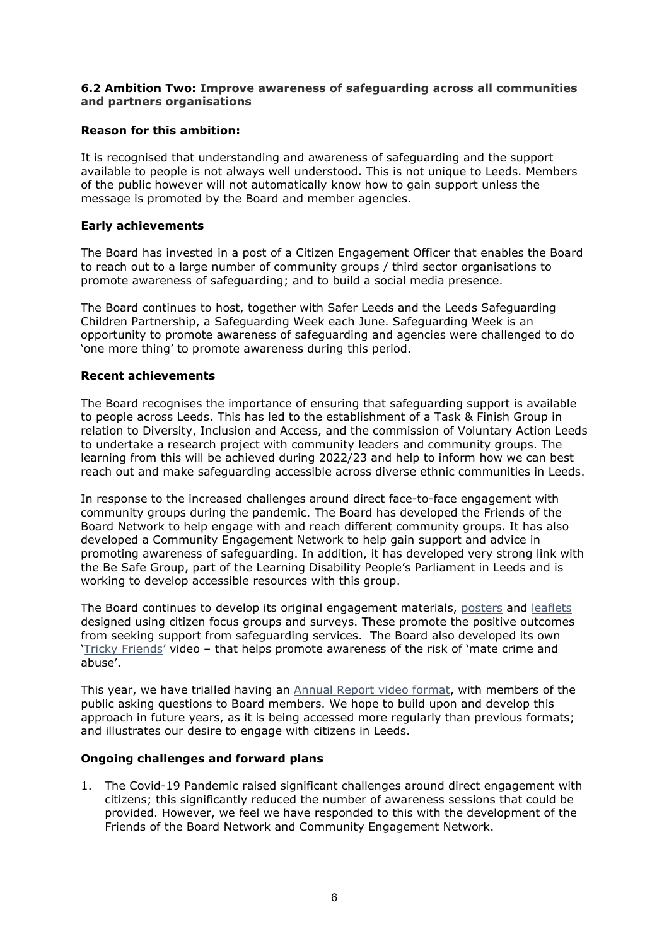### **6.2 Ambition Two: Improve awareness of safeguarding across all communities and partners organisations**

## **Reason for this ambition:**

It is recognised that understanding and awareness of safeguarding and the support available to people is not always well understood. This is not unique to Leeds. Members of the public however will not automatically know how to gain support unless the message is promoted by the Board and member agencies.

### **Early achievements**

The Board has invested in a post of a Citizen Engagement Officer that enables the Board to reach out to a large number of community groups / third sector organisations to promote awareness of safeguarding; and to build a social media presence.

The Board continues to host, together with Safer Leeds and the Leeds Safeguarding Children Partnership, a Safeguarding Week each June. Safeguarding Week is an opportunity to promote awareness of safeguarding and agencies were challenged to do 'one more thing' to promote awareness during this period.

#### **Recent achievements**

The Board recognises the importance of ensuring that safeguarding support is available to people across Leeds. This has led to the establishment of a Task & Finish Group in relation to Diversity, Inclusion and Access, and the commission of Voluntary Action Leeds to undertake a research project with community leaders and community groups. The learning from this will be achieved during 2022/23 and help to inform how we can best reach out and make safeguarding accessible across diverse ethnic communities in Leeds.

In response to the increased challenges around direct face-to-face engagement with community groups during the pandemic. The Board has developed the Friends of the Board Network to help engage with and reach different community groups. It has also developed a Community Engagement Network to help gain support and advice in promoting awareness of safeguarding. In addition, it has developed very strong link with the Be Safe Group, part of the Learning Disability People's Parliament in Leeds and is working to develop accessible resources with this group.

The Board continues to develop its original engagement materials, [posters](https://leedssafeguardingadults.org.uk/Documents/Safeguarding/Supporting%20people%20to%20be%20safe%20posters.pdf) and [leaflets](https://leedssafeguardingadults.org.uk/Documents/Safeguarding/Supporting%20people%20to%20be%20safe%20leaflet.pdf) designed using citizen focus groups and surveys. These promote the positive outcomes from seeking support from safeguarding services. The Board also developed its own ['Tricky Friends'](https://www.youtube.com/watch?v=k04ukUzP_I0) video – that helps promote awareness of the risk of 'mate crime and abuse'.

This year, we have trialled having an Annual [Report video](https://www.youtube.com/watch?v=gvPOLwUzDwc&t=179s) format, with members of the public asking questions to Board members. We hope to build upon and develop this approach in future years, as it is being accessed more regularly than previous formats; and illustrates our desire to engage with citizens in Leeds.

#### **Ongoing challenges and forward plans**

1. The Covid-19 Pandemic raised significant challenges around direct engagement with citizens; this significantly reduced the number of awareness sessions that could be provided. However, we feel we have responded to this with the development of the Friends of the Board Network and Community Engagement Network.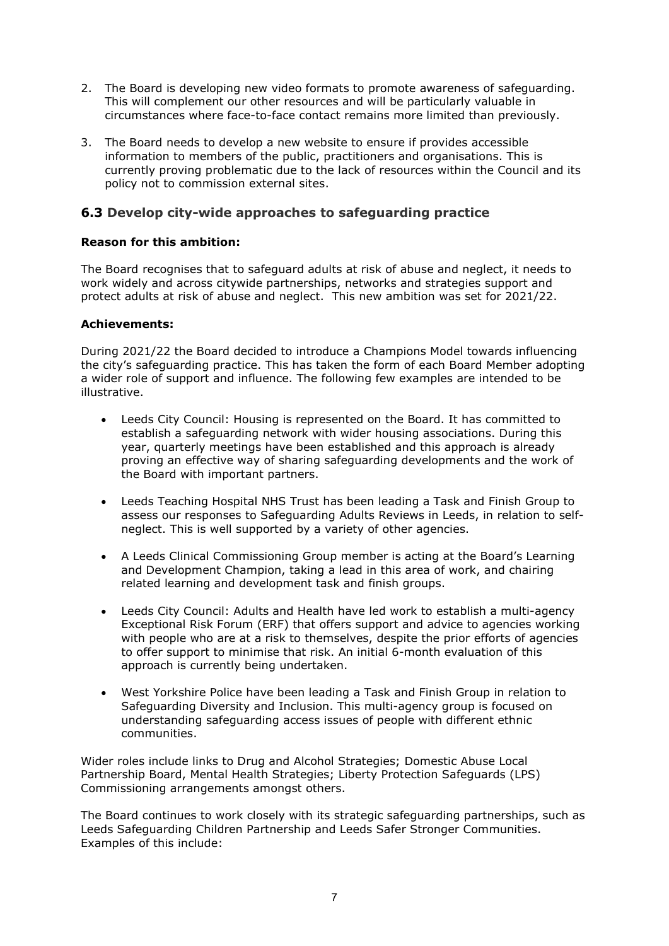- 2. The Board is developing new video formats to promote awareness of safeguarding. This will complement our other resources and will be particularly valuable in circumstances where face-to-face contact remains more limited than previously.
- 3. The Board needs to develop a new website to ensure if provides accessible information to members of the public, practitioners and organisations. This is currently proving problematic due to the lack of resources within the Council and its policy not to commission external sites.

# **6.3 Develop city-wide approaches to safeguarding practice**

## **Reason for this ambition:**

The Board recognises that to safeguard adults at risk of abuse and neglect, it needs to work widely and across citywide partnerships, networks and strategies support and protect adults at risk of abuse and neglect. This new ambition was set for 2021/22.

### **Achievements:**

During 2021/22 the Board decided to introduce a Champions Model towards influencing the city's safeguarding practice. This has taken the form of each Board Member adopting a wider role of support and influence. The following few examples are intended to be illustrative.

- Leeds City Council: Housing is represented on the Board. It has committed to establish a safeguarding network with wider housing associations. During this year, quarterly meetings have been established and this approach is already proving an effective way of sharing safeguarding developments and the work of the Board with important partners.
- Leeds Teaching Hospital NHS Trust has been leading a Task and Finish Group to assess our responses to Safeguarding Adults Reviews in Leeds, in relation to selfneglect. This is well supported by a variety of other agencies.
- A Leeds Clinical Commissioning Group member is acting at the Board's Learning and Development Champion, taking a lead in this area of work, and chairing related learning and development task and finish groups.
- Leeds City Council: Adults and Health have led work to establish a multi-agency Exceptional Risk Forum (ERF) that offers support and advice to agencies working with people who are at a risk to themselves, despite the prior efforts of agencies to offer support to minimise that risk. An initial 6-month evaluation of this approach is currently being undertaken.
- West Yorkshire Police have been leading a Task and Finish Group in relation to Safeguarding Diversity and Inclusion. This multi-agency group is focused on understanding safeguarding access issues of people with different ethnic communities.

Wider roles include links to Drug and Alcohol Strategies; Domestic Abuse Local Partnership Board, Mental Health Strategies; Liberty Protection Safeguards (LPS) Commissioning arrangements amongst others.

The Board continues to work closely with its strategic safeguarding partnerships, such as Leeds Safeguarding Children Partnership and Leeds Safer Stronger Communities. Examples of this include: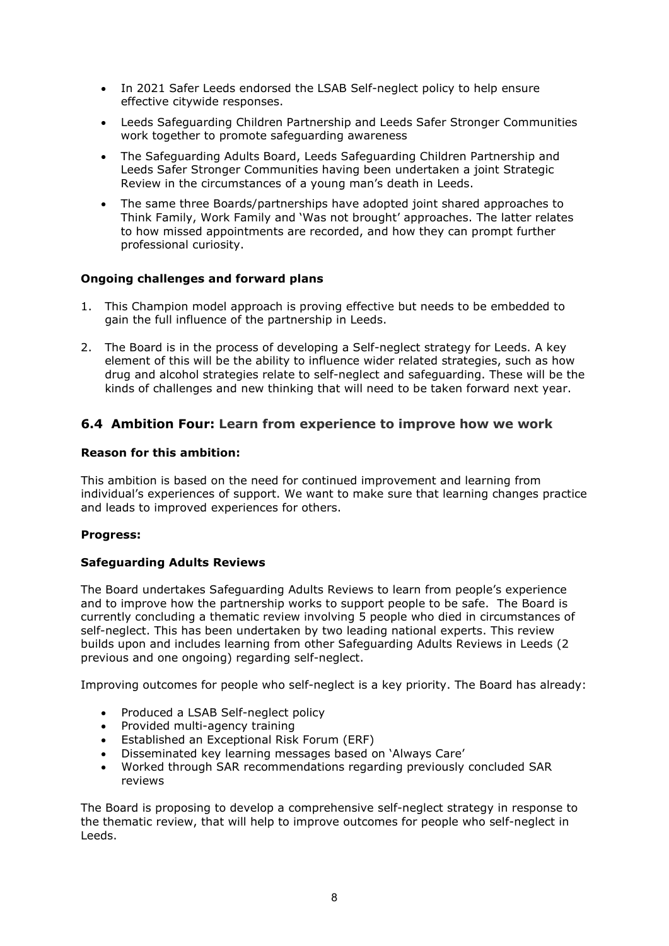- In 2021 Safer Leeds endorsed the LSAB Self-neglect policy to help ensure effective citywide responses.
- Leeds Safeguarding Children Partnership and Leeds Safer Stronger Communities work together to promote safeguarding awareness
- The Safeguarding Adults Board, Leeds Safeguarding Children Partnership and Leeds Safer Stronger Communities having been undertaken a joint Strategic Review in the circumstances of a young man's death in Leeds.
- The same three Boards/partnerships have adopted joint shared approaches to Think Family, Work Family and 'Was not brought' approaches. The latter relates to how missed appointments are recorded, and how they can prompt further professional curiosity.

### **Ongoing challenges and forward plans**

- 1. This Champion model approach is proving effective but needs to be embedded to gain the full influence of the partnership in Leeds.
- 2. The Board is in the process of developing a Self-neglect strategy for Leeds. A key element of this will be the ability to influence wider related strategies, such as how drug and alcohol strategies relate to self-neglect and safeguarding. These will be the kinds of challenges and new thinking that will need to be taken forward next year.

# **6.4 Ambition Four: Learn from experience to improve how we work**

#### **Reason for this ambition:**

This ambition is based on the need for continued improvement and learning from individual's experiences of support. We want to make sure that learning changes practice and leads to improved experiences for others.

#### **Progress:**

#### **Safeguarding Adults Reviews**

The Board undertakes Safeguarding Adults Reviews to learn from people's experience and to improve how the partnership works to support people to be safe. The Board is currently concluding a thematic review involving 5 people who died in circumstances of self-neglect. This has been undertaken by two leading national experts. This review builds upon and includes learning from other Safeguarding Adults Reviews in Leeds (2 previous and one ongoing) regarding self-neglect.

Improving outcomes for people who self-neglect is a key priority. The Board has already:

- Produced a LSAB Self-neglect policy
- Provided multi-agency training
- Established an Exceptional Risk Forum (ERF)
- Disseminated key learning messages based on 'Always Care'
- Worked through SAR recommendations regarding previously concluded SAR reviews

The Board is proposing to develop a comprehensive self-neglect strategy in response to the thematic review, that will help to improve outcomes for people who self-neglect in Leeds.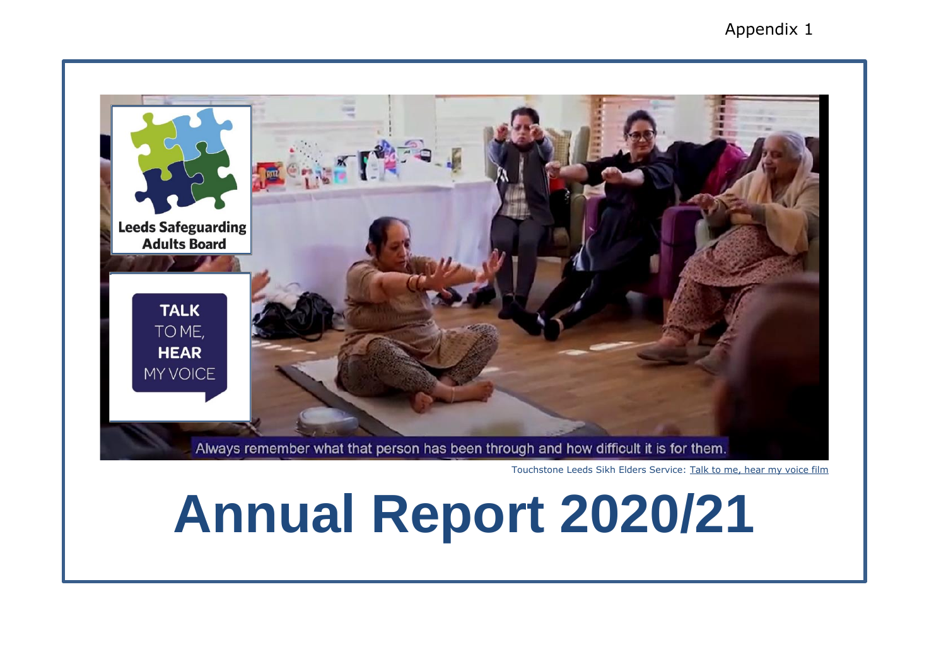for individual member organisations.

Throughout the rest of 2020/21 Covid-19 has been a continuous agenda item for each meeting, which included these themes within its assurance/assessment processes.

**Safeguarding Practice: July 2020** Learning & Development August 2020 Safequarding Concerns: October 2020 Safeguarding Arrangements : De cember 2021

continuing now, the During this period, and Board retains the impact of C ovid - 19 as a standard agen da item for each meeting.

 $5\phantom{1}$ 8 pporth goople the our onlti -ag nuaégard cadit spoluand proedres

The multi- agency safeguarding adults policy and procedures provide a framework for all organisations to work together and with the person at risk, to support them to be safe from abuse, neglect or self -neglec t.

#### **Ségard Referrals**

There were 10,917 safeguarding referrals made during 2020/21. This a 12% increase from 2019/20 and 25% increase from 2018/19 as set out below:

 $2020/21 - 10,917$  $2019/20 - 9.783$  $2018/19 - 8.715$ 

### **Segarddigies**

When a ref erral is received by Leeds City Council: Adults & Health they will need to decide whether to undertake a safeguarding enguiry. This decision will be made based upon the criteria set out within Section 42 of the Care Act 2014 and the accompanying Care and S upport Statutory Guidance.

In 2020/21 there were 3286 safeguarding enquiries commenced, this amounts to 30% of all referrals. This is a slightly lower percentage than in previous years as set out below:

<sup>&</sup>lt;sup>1</sup> Data for the period 2021/22 will be produced for the LSAB Annual Report/2021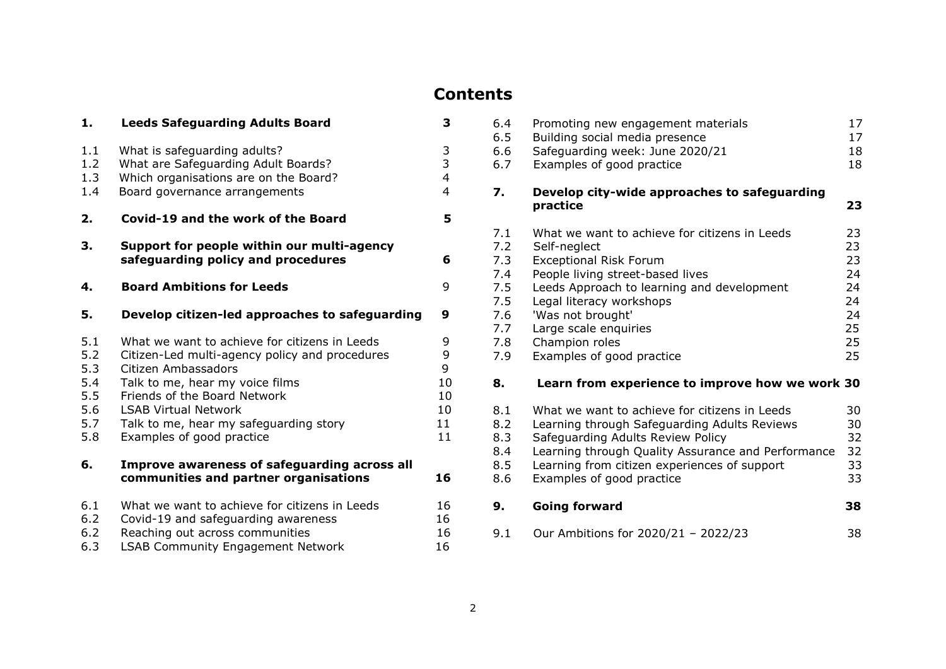# **Contents**

| 1.                                                   | <b>Leeds Safeguarding Adults Board</b>                                                                                                                                                                                                                                                          | 3                                             |
|------------------------------------------------------|-------------------------------------------------------------------------------------------------------------------------------------------------------------------------------------------------------------------------------------------------------------------------------------------------|-----------------------------------------------|
| 1.1<br>1.2<br>1.3<br>1.4                             | What is safeguarding adults?<br>What are Safeguarding Adult Boards?<br>Which organisations are on the Board?<br>Board governance arrangements                                                                                                                                                   | $\frac{3}{3}$<br>$\overline{\mathbf{4}}$<br>4 |
| 2.                                                   | Covid-19 and the work of the Board                                                                                                                                                                                                                                                              | 5                                             |
| З.                                                   | Support for people within our multi-agency<br>safeguarding policy and procedures                                                                                                                                                                                                                | 6                                             |
| 4.                                                   | <b>Board Ambitions for Leeds</b>                                                                                                                                                                                                                                                                | 9                                             |
| 5.                                                   | Develop citizen-led approaches to safeguarding                                                                                                                                                                                                                                                  | 9                                             |
| 5.1<br>5.2<br>5.3<br>5.4<br>5.5<br>5.6<br>5.7<br>5.8 | What we want to achieve for citizens in Leeds<br>Citizen-Led multi-agency policy and procedures<br>Citizen Ambassadors<br>Talk to me, hear my voice films<br>Friends of the Board Network<br><b>LSAB Virtual Network</b><br>Talk to me, hear my safeguarding story<br>Examples of good practice | 9<br>9<br>9<br>10<br>10<br>10<br>11<br>11     |
| 6.                                                   | Improve awareness of safeguarding across all<br>communities and partner organisations                                                                                                                                                                                                           | 16                                            |
| 6.1<br>6.2<br>6.2<br>6.3                             | What we want to achieve for citizens in Leeds<br>Covid-19 and safeguarding awareness<br>Reaching out across communities<br><b>LSAB Community Engagement Network</b>                                                                                                                             | 16<br>16<br>16<br>16                          |

| 6.4<br>6.5<br>6.6<br>6.7                                           | Promoting new engagement materials<br>Building social media presence<br>Safeguarding week: June 2020/21<br>Examples of good practice                                                                                                                                                                      | 17<br>17<br>18<br>18                                     |
|--------------------------------------------------------------------|-----------------------------------------------------------------------------------------------------------------------------------------------------------------------------------------------------------------------------------------------------------------------------------------------------------|----------------------------------------------------------|
| 7.                                                                 | Develop city-wide approaches to safeguarding<br>practice                                                                                                                                                                                                                                                  | 23                                                       |
| 7.1<br>7.2<br>7.3<br>7.4<br>7.5<br>7.5<br>7.6<br>7.7<br>7.8<br>7.9 | What we want to achieve for citizens in Leeds<br>Self-neglect<br><b>Exceptional Risk Forum</b><br>People living street-based lives<br>Leeds Approach to learning and development<br>Legal literacy workshops<br>'Was not brought'<br>Large scale enquiries<br>Champion roles<br>Examples of good practice | 23<br>23<br>23<br>24<br>24<br>24<br>24<br>25<br>25<br>25 |
| 8.                                                                 | Learn from experience to improve how we work 30                                                                                                                                                                                                                                                           |                                                          |
| 8.1<br>8.2<br>8.3<br>8.4<br>8.5<br>8.6                             | What we want to achieve for citizens in Leeds<br>Learning through Safeguarding Adults Reviews<br>Safeguarding Adults Review Policy<br>Learning through Quality Assurance and Performance<br>Learning from citizen experiences of support<br>Examples of good practice                                     | 30<br>30<br>32<br>32<br>33<br>33                         |
| 9.                                                                 | <b>Going forward</b>                                                                                                                                                                                                                                                                                      | 38                                                       |
| 9.1                                                                | Our Ambitions for 2020/21 - 2022/23                                                                                                                                                                                                                                                                       | 38                                                       |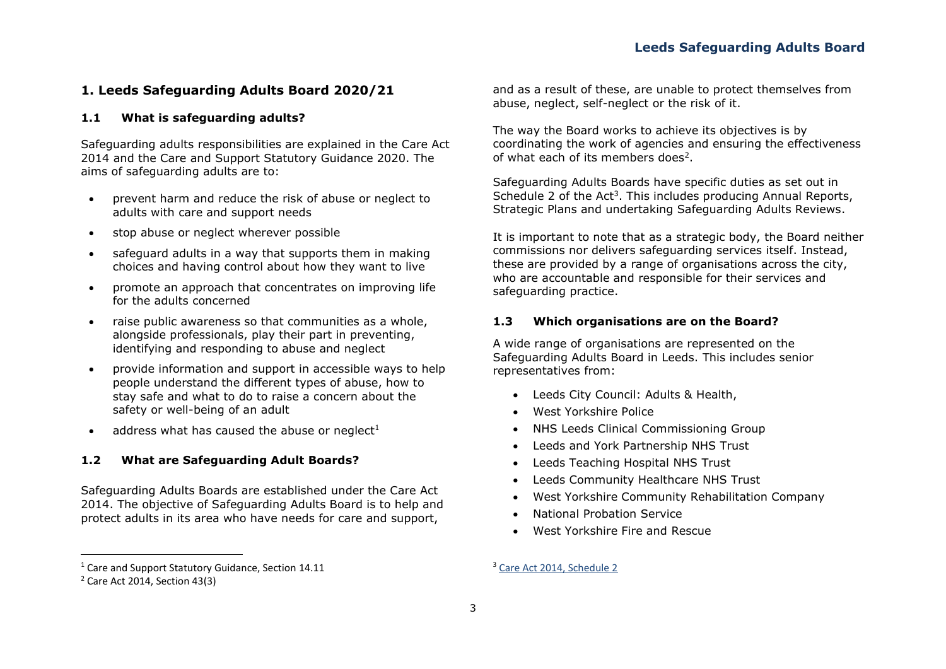# **1. Leeds Safeguarding Adults Board 2020/21**

#### **1.1 What is safeguarding adults?**

Safeguarding adults responsibilities are explained in the Care Act 2014 and the Care and Support Statutory Guidance 2020. The aims of safeguarding adults are to:

- prevent harm and reduce the risk of abuse or neglect to adults with care and support needs
- stop abuse or neglect wherever possible
- safeguard adults in a way that supports them in making choices and having control about how they want to live
- promote an approach that concentrates on improving life for the adults concerned
- raise public awareness so that communities as a whole, alongside professionals, play their part in preventing, identifying and responding to abuse and neglect
- provide information and support in accessible ways to help people understand the different types of abuse, how to stay safe and what to do to raise a concern about the safety or well-being of an adult
- address what has caused the abuse or neglect $1$

#### **1.2 What are Safeguarding Adult Boards?**

Safeguarding Adults Boards are established under the Care Act 2014. The objective of Safeguarding Adults Board is to help and protect adults in its area who have needs for care and support,

and as a result of these, are unable to protect themselves from abuse, neglect, self-neglect or the risk of it.

The way the Board works to achieve its objectives is by coordinating the work of agencies and ensuring the effectiveness of what each of its members does<sup>2</sup>.

Safeguarding Adults Boards have specific duties as set out in Schedule 2 of the Act<sup>3</sup>. This includes producing Annual Reports, Strategic Plans and undertaking Safeguarding Adults Reviews.

It is important to note that as a strategic body, the Board neither commissions nor delivers safeguarding services itself. Instead, these are provided by a range of organisations across the city, who are accountable and responsible for their services and safeguarding practice.

#### **1.3 Which organisations are on the Board?**

A wide range of organisations are represented on the Safeguarding Adults Board in Leeds. This includes senior representatives from:

- Leeds City Council: Adults & Health,
- West Yorkshire Police
- NHS Leeds Clinical Commissioning Group
- Leeds and York Partnership NHS Trust
- Leeds Teaching Hospital NHS Trust
- Leeds Community Healthcare NHS Trust
- West Yorkshire Community Rehabilitation Company
- National Probation Service
- West Yorkshire Fire and Rescue

<sup>&</sup>lt;sup>1</sup> Care and Support Statutory Guidance, Section 14.11

<sup>2</sup> Care Act 2014, Section 43(3)

<sup>3</sup> [Care Act 2014, Schedule](http://www.legislation.gov.uk/ukpga/2014/23/schedule/2/enacted) 2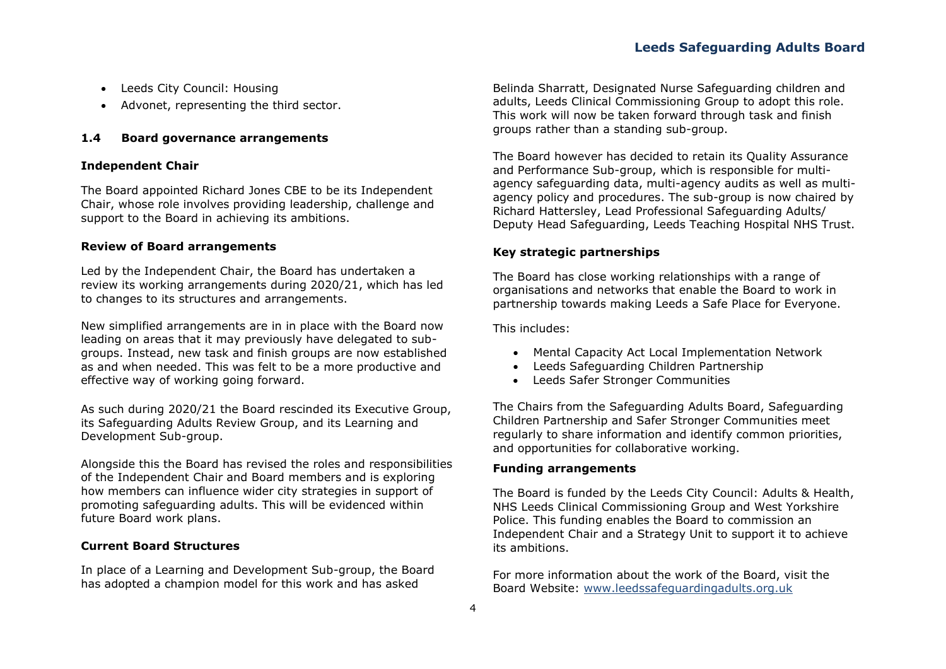- Leeds City Council: Housing
- Advonet, representing the third sector.

#### **1.4 Board governance arrangements**

#### **Independent Chair**

The Board appointed Richard Jones CBE to be its Independent Chair, whose role involves providing leadership, challenge and support to the Board in achieving its ambitions.

#### **Review of Board arrangements**

Led by the Independent Chair, the Board has undertaken a review its working arrangements during 2020/21, which has led to changes to its structures and arrangements.

New simplified arrangements are in in place with the Board now leading on areas that it may previously have delegated to subgroups. Instead, new task and finish groups are now established as and when needed. This was felt to be a more productive and effective way of working going forward.

As such during 2020/21 the Board rescinded its Executive Group, its Safeguarding Adults Review Group, and its Learning and Development Sub-group.

Alongside this the Board has revised the roles and responsibilities of the Independent Chair and Board members and is exploring how members can influence wider city strategies in support of promoting safeguarding adults. This will be evidenced within future Board work plans.

#### **Current Board Structures**

In place of a Learning and Development Sub-group, the Board has adopted a champion model for this work and has asked

Belinda Sharratt, Designated Nurse Safeguarding children and adults, Leeds Clinical Commissioning Group to adopt this role. This work will now be taken forward through task and finish groups rather than a standing sub-group.

The Board however has decided to retain its Quality Assurance and Performance Sub-group, which is responsible for multiagency safeguarding data, multi-agency audits as well as multiagency policy and procedures. The sub-group is now chaired by Richard Hattersley, Lead Professional Safeguarding Adults/ Deputy Head Safeguarding, Leeds Teaching Hospital NHS Trust.

#### **Key strategic partnerships**

The Board has close working relationships with a range of organisations and networks that enable the Board to work in partnership towards making Leeds a Safe Place for Everyone.

This includes:

- Mental Capacity Act Local Implementation Network
- Leeds Safeguarding Children Partnership
- Leeds Safer Stronger Communities

The Chairs from the Safeguarding Adults Board, Safeguarding Children Partnership and Safer Stronger Communities meet regularly to share information and identify common priorities, and opportunities for collaborative working.

#### **Funding arrangements**

The Board is funded by the Leeds City Council: Adults & Health, NHS Leeds Clinical Commissioning Group and West Yorkshire Police. This funding enables the Board to commission an Independent Chair and a Strategy Unit to support it to achieve its ambitions.

For more information about the work of the Board, visit the Board Website: [www.leedssafeguardingadults.org.uk](http://www.leedssafeguardingadults.org.uk/)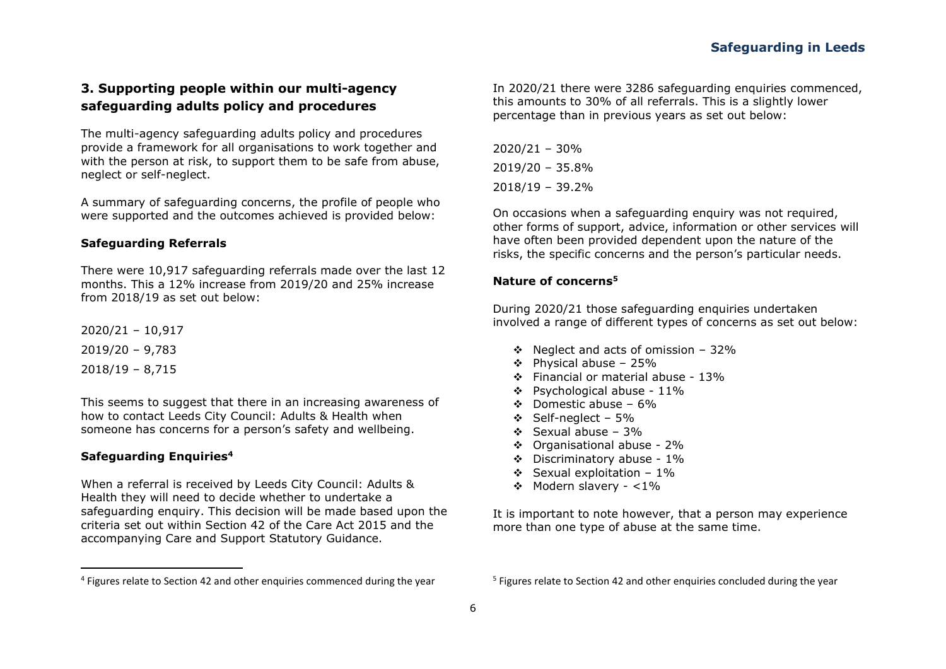# **3. Supporting people within our multi-agency safeguarding adults policy and procedures**

The multi-agency safeguarding adults policy and procedures provide a framework for all organisations to work together and with the person at risk, to support them to be safe from abuse, neglect or self-neglect.

A summary of safeguarding concerns, the profile of people who were supported and the outcomes achieved is provided below:

#### **Safeguarding Referrals**

There were 10,917 safeguarding referrals made over the last 12 months. This a 12% increase from 2019/20 and 25% increase from 2018/19 as set out below:

2020/21 – 10,917 2019/20 – 9,783 2018/19 – 8,715

This seems to suggest that there in an increasing awareness of how to contact Leeds City Council: Adults & Health when someone has concerns for a person's safety and wellbeing.

#### **Safeguarding Enquiries<sup>4</sup>**

When a referral is received by Leeds City Council: Adults & Health they will need to decide whether to undertake a safeguarding enquiry. This decision will be made based upon the criteria set out within Section 42 of the Care Act 2015 and the accompanying Care and Support Statutory Guidance.

In 2020/21 there were 3286 safeguarding enquiries commenced, this amounts to 30% of all referrals. This is a slightly lower percentage than in previous years as set out below:

2020/21 – 30% 2019/20 – 35.8% 2018/19 – 39.2%

On occasions when a safeguarding enquiry was not required, other forms of support, advice, information or other services will have often been provided dependent upon the nature of the risks, the specific concerns and the person's particular needs.

#### **Nature of concerns<sup>5</sup>**

During 2020/21 those safeguarding enquiries undertaken involved a range of different types of concerns as set out below:

- ❖ Neglect and acts of omission 32%
- $\div$  Physical abuse 25%
- ❖ Financial or material abuse 13%
- ❖ Psychological abuse 11%
- ❖ Domestic abuse 6%
- ❖ Self-neglect 5%
- ❖ Sexual abuse 3%
- ❖ Organisational abuse 2%
- ❖ Discriminatory abuse 1%
- ❖ Sexual exploitation 1%
- ❖ Modern slavery <1%

It is important to note however, that a person may experience more than one type of abuse at the same time.

<sup>&</sup>lt;sup>4</sup> Figures relate to Section 42 and other enquiries commenced during the year

<sup>&</sup>lt;sup>5</sup> Figures relate to Section 42 and other enquiries concluded during the year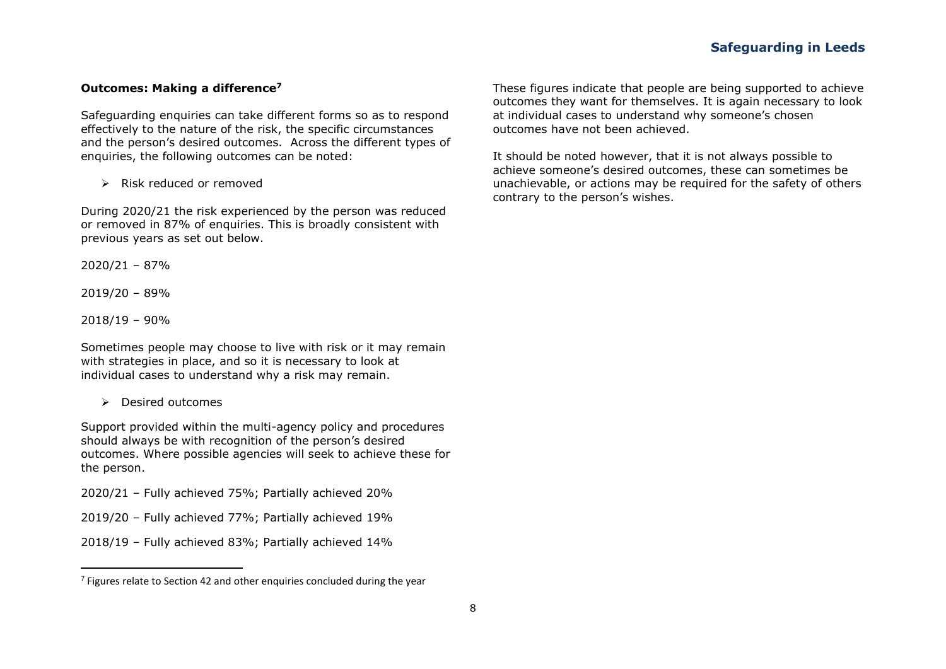#### **Outcomes: Making a difference<sup>7</sup>**

Safeguarding enquiries can take different forms so as to respond effectively to the nature of the risk, the specific circumstances and the person's desired outcomes. Across the different types of enquiries, the following outcomes can be noted:

➢ Risk reduced or removed

During 2020/21 the risk experienced by the person was reduced or removed in 87% of enquiries. This is broadly consistent with previous years as set out below.

2020/21 – 87%

2019/20 – 89%

2018/19 – 90%

Sometimes people may choose to live with risk or it may remain with strategies in place, and so it is necessary to look at individual cases to understand why a risk may remain.

➢ Desired outcomes

Support provided within the multi-agency policy and procedures should always be with recognition of the person's desired outcomes. Where possible agencies will seek to achieve these for the person.

2020/21 – Fully achieved 75%; Partially achieved 20%

- 2019/20 Fully achieved 77%; Partially achieved 19%
- 2018/19 Fully achieved 83%; Partially achieved 14%

These figures indicate that people are being supported to achieve outcomes they want for themselves. It is again necessary to look at individual cases to understand why someone's chosen outcomes have not been achieved.

It should be noted however, that it is not always possible to achieve someone's desired outcomes, these can sometimes be unachievable, or actions may be required for the safety of others contrary to the person's wishes.

 $^7$  Figures relate to Section 42 and other enquiries concluded during the year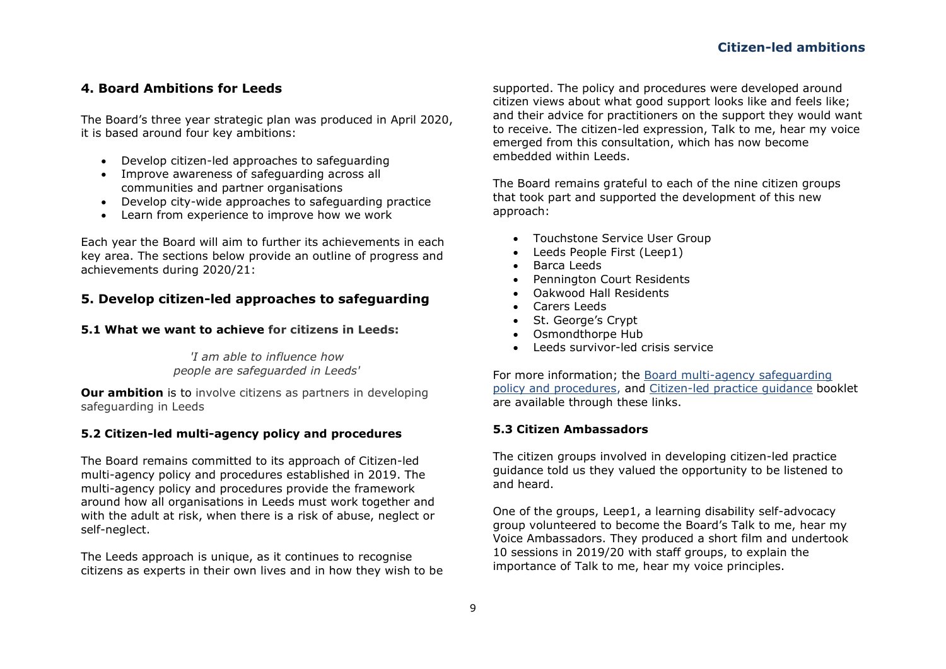#### **4. Board Ambitions for Leeds**

The Board's three year strategic plan was produced in April 2020, it is based around four key ambitions:

- Develop citizen-led approaches to safeguarding
- Improve awareness of safeguarding across all communities and partner organisations
- Develop city-wide approaches to safeguarding practice
- Learn from experience to improve how we work

Each year the Board will aim to further its achievements in each key area. The sections below provide an outline of progress and achievements during 2020/21:

### **5. Develop citizen-led approaches to safeguarding**

#### **5.1 What we want to achieve for citizens in Leeds:**

*'I am able to influence how people are safeguarded in Leeds'*

**Our ambition** is to involve citizens as partners in developing safeguarding in Leeds

#### **5.2 Citizen-led multi-agency policy and procedures**

The Board remains committed to its approach of Citizen-led multi-agency policy and procedures established in 2019. The multi-agency policy and procedures provide the framework around how all organisations in Leeds must work together and with the adult at risk, when there is a risk of abuse, neglect or self-neglect.

The Leeds approach is unique, as it continues to recognise citizens as experts in their own lives and in how they wish to be supported. The policy and procedures were developed around citizen views about what good support looks like and feels like; and their advice for practitioners on the support they would want to receive. The citizen-led expression, Talk to me, hear my voice emerged from this consultation, which has now become embedded within Leeds.

The Board remains grateful to each of the nine citizen groups that took part and supported the development of this new approach:

- Touchstone Service User Group
- Leeds People First (Leep1)
- Barca Leeds
- Pennington Court Residents
- Oakwood Hall Residents
- Carers Leeds
- St. George's Crypt
- Osmondthorpe Hub
- Leeds survivor-led crisis service

For more information; the [Board multi-agency safeguarding](https://leedssafeguardingadults.org.uk/safeguarding-adults/multi-agency-policy-and-procedures)  [policy and procedures,](https://leedssafeguardingadults.org.uk/safeguarding-adults/multi-agency-policy-and-procedures) and [Citizen-led practice guidance](https://leedssafeguardingadults.org.uk/Documents/Safeguarding/Citizen-Led%20Practice%20Guidance.pdf) booklet are available through these links.

#### **5.3 Citizen Ambassadors**

The citizen groups involved in developing citizen-led practice guidance told us they valued the opportunity to be listened to and heard.

One of the groups, Leep1, a learning disability self-advocacy group volunteered to become the Board's Talk to me, hear my Voice Ambassadors. They produced a short film and undertook 10 sessions in 2019/20 with staff groups, to explain the importance of Talk to me, hear my voice principles.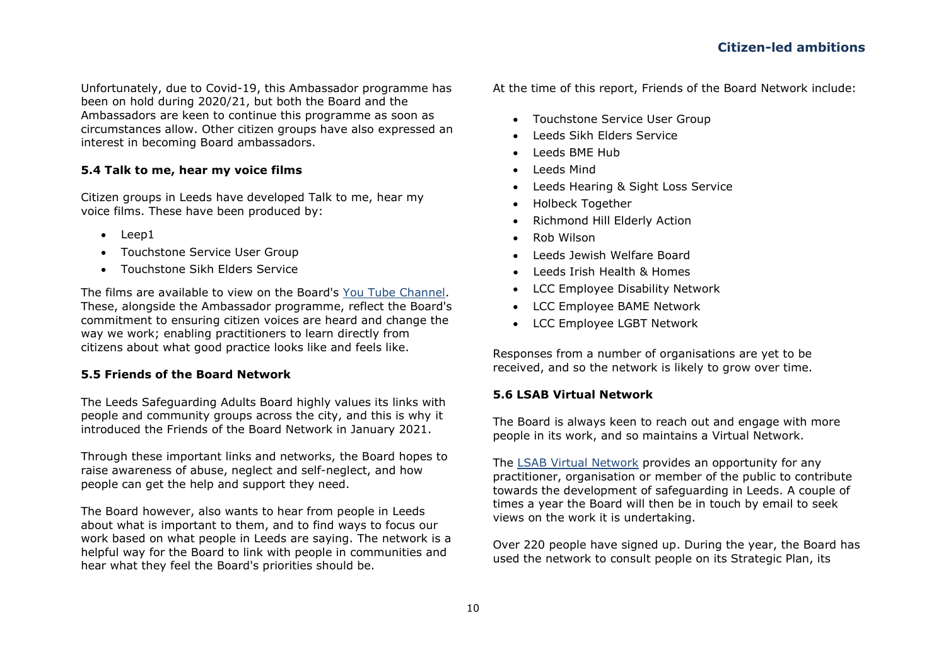Unfortunately, due to Covid-19, this Ambassador programme has been on hold during 2020/21, but both the Board and the Ambassadors are keen to continue this programme as soon as circumstances allow. Other citizen groups have also expressed an interest in becoming Board ambassadors.

#### **5.4 Talk to me, hear my voice films**

Citizen groups in Leeds have developed Talk to me, hear my voice films. These have been produced by:

- Leep1
- Touchstone Service User Group
- Touchstone Sikh Elders Service

The films are available to view on the Board's You [Tube Channel.](https://www.youtube.com/channel/UCGG-J6Io67v71xUL0tQqlmQ) These, alongside the Ambassador programme, reflect the Board's commitment to ensuring citizen voices are heard and change the way we work; enabling practitioners to learn directly from citizens about what good practice looks like and feels like.

#### **5.5 Friends of the Board Network**

The Leeds Safeguarding Adults Board highly values its links with people and community groups across the city, and this is why it introduced the Friends of the Board Network in January 2021.

Through these important links and networks, the Board hopes to raise awareness of abuse, neglect and self-neglect, and how people can get the help and support they need.

The Board however, also wants to hear from people in Leeds about what is important to them, and to find ways to focus our work based on what people in Leeds are saying. The network is a helpful way for the Board to link with people in communities and hear what they feel the Board's priorities should be.

At the time of this report, Friends of the Board Network include:

- Touchstone Service User Group
- Leeds Sikh Elders Service
- Leeds BME Hub
- Leeds Mind
- Leeds Hearing & Sight Loss Service
- Holbeck Together
- Richmond Hill Elderly Action
- Rob Wilson
- Leeds Jewish Welfare Board
- Leeds Irish Health & Homes
- LCC Employee Disability Network
- LCC Employee BAME Network
- LCC Employee LGBT Network

Responses from a number of organisations are yet to be received, and so the network is likely to grow over time.

#### **5.6 LSAB Virtual Network**

The Board is always keen to reach out and engage with more people in its work, and so maintains a Virtual Network.

The [LSAB Virtual Network](https://leedssafeguardingadults.org.uk/safeguarding-adults-board) provides an opportunity for any practitioner, organisation or member of the public to contribute towards the development of safeguarding in Leeds. A couple of times a year the Board will then be in touch by email to seek views on the work it is undertaking.

Over 220 people have signed up. During the year, the Board has used the network to consult people on its Strategic Plan, its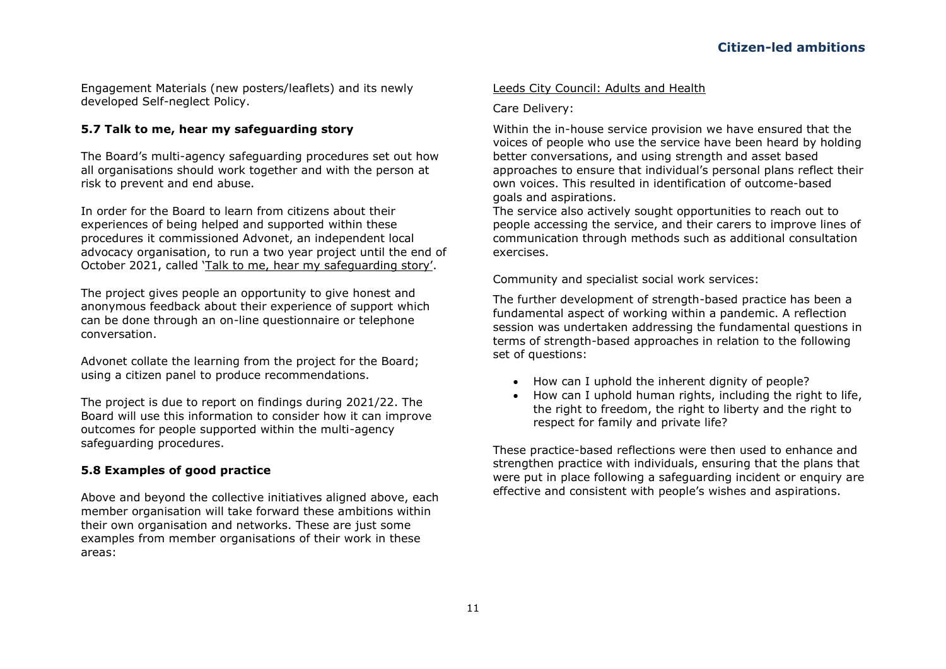Engagement Materials (new posters/leaflets) and its newly developed Self-neglect Policy.

#### <span id="page-21-0"></span>**5.7 Talk to me, hear my safeguarding story**

The Board's multi-agency safeguarding procedures set out how all organisations should work together and with the person at risk to prevent and end abuse.

In order for the Board to learn from citizens about their experiences of being helped and supported within these procedures it commissioned Advonet, an independent local advocacy organisation, to run a two year project until the end of October 2021, called 'Talk to me, h[ear my safeguarding story'](https://advonet.org.uk/how-we-can-help-you/hear-my-voice/).

The project gives people an opportunity to give honest and anonymous feedback about their experience of support which can be done through an on-line questionnaire or telephone conversation.

Advonet collate the learning from the project for the Board; using a citizen panel to produce recommendations.

The project is due to report on findings during 2021/22. The Board will use this information to consider how it can improve outcomes for people supported within the multi-agency safeguarding procedures.

#### **5.8 Examples of good practice**

Above and beyond the collective initiatives aligned above, each member organisation will take forward these ambitions within their own organisation and networks. These are just some examples from member organisations of their work in these areas:

#### Leeds City Council: Adults and Health

Care Delivery:

Within the in-house service provision we have ensured that the voices of people who use the service have been heard by holding better conversations, and using strength and asset based approaches to ensure that individual's personal plans reflect their own voices. This resulted in identification of outcome-based goals and aspirations.

The service also actively sought opportunities to reach out to people accessing the service, and their carers to improve lines of communication through methods such as additional consultation exercises.

Community and specialist social work services:

The further development of strength-based practice has been a fundamental aspect of working within a pandemic. A reflection session was undertaken addressing the fundamental questions in terms of strength-based approaches in relation to the following set of questions:

- How can I uphold the inherent dignity of people?
- How can I uphold human rights, including the right to life, the right to freedom, the right to liberty and the right to respect for family and private life?

These practice-based reflections were then used to enhance and strengthen practice with individuals, ensuring that the plans that were put in place following a safeguarding incident or enquiry are effective and consistent with people's wishes and aspirations.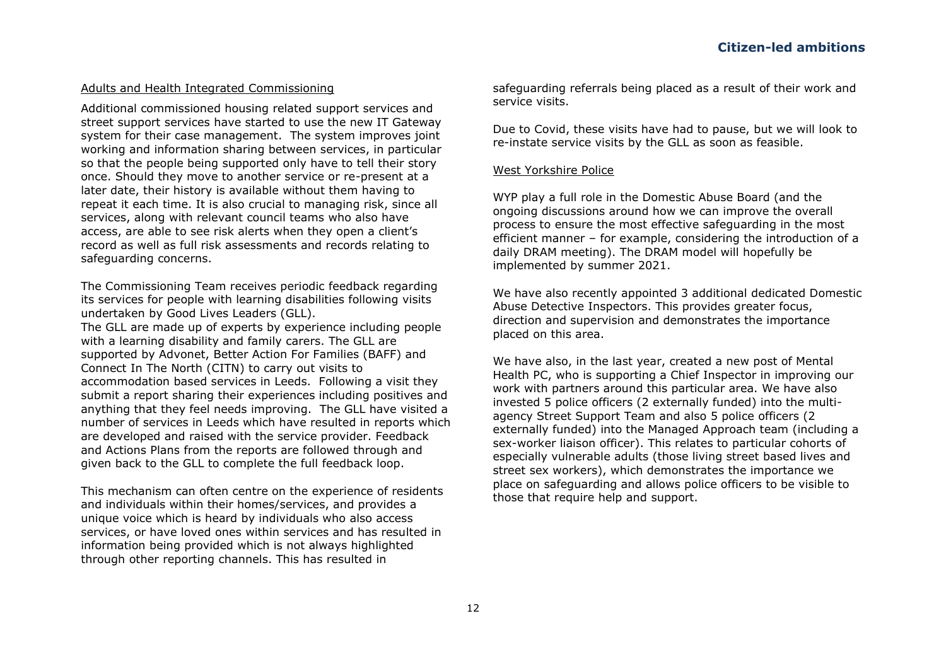#### 4. Board Ambitions for Leeds

7 K H % R Dilute Tylear strategic plan was produced in April 2020. it is based around four key ambitions:

- x Develop citizen led approaches to safequarding
- x Improve awareness of safeguarding across all communities and partner organisations
- x Develop city wide approaches to safeguarding practice
- x Learn from experience to improve how we work

Each year the Board will aim to further its achievements in each key area. The sections below provide an outli ne of progress and achievements during 2020/21 :

- led approaches to safeguarding 5. Develop citizen
- 5.1 What we want to achieve for c itizens in Leeds:

'I am able to influence how people are safequarded in Leeds'

Our ambition is to involve citizens as partners in developing safeguarding in Leeds

5.2 Citizen - led multi - agency policy and procedures

The Board remains committed to its approach of Citizen -led multi-agency policy and procedures established in 2019 . The multi-agency policy and procedures provide the framework around how all organisations in Leeds must work together and with the adult at risk, when there is a risk of abuse, neglect or self-neglect.

The Leeds approach is unique, as it continues to recognise citizens as experts in their own lives and in how they wish to be

supported. The policy and procedures were developed around citizen views about what good support looks like and feels like; and their advice for practitioners on the support they would want to receive. The citizen - led expression, Talk to me, hear my voice emerged from this consultation, which has now become embedded within Leeds

The Board remains grateful to each of the nine citizen groups that took part and supported the development of this new approach:

- x Touchstone Service User Group
- x Leeds People First (Leep1)
- x Barca Leeds
- x Pennington Court Residents
- x Oakwood Hall Residents
- x Carers Leeds
- x 6W \*HRUJH¶V &U\SW
- x Osmondthorpe Hub
- x Leeds survivor led crisis service

For more information: the Board multi - agency safeguarding policy and procedures , and Citizen - led practice quidance booklet are available through these links.

5.3 Citizen Ambassadors

The citizen groups involved in developing citizen - led practice guidance told us they valued the opportunity to be listened to and heard.

One of the groups, Leep1, a learning disability self -advocacy JURXS YROXQWHHUHG WR EHFRPH WHEEN THE RDUGTV 7DO Voice Ambassadors. They produced a short film and undertook 10 session s in 2019/20 with staff groups, to explain the hear my vo ice principles. importance of Talk to me,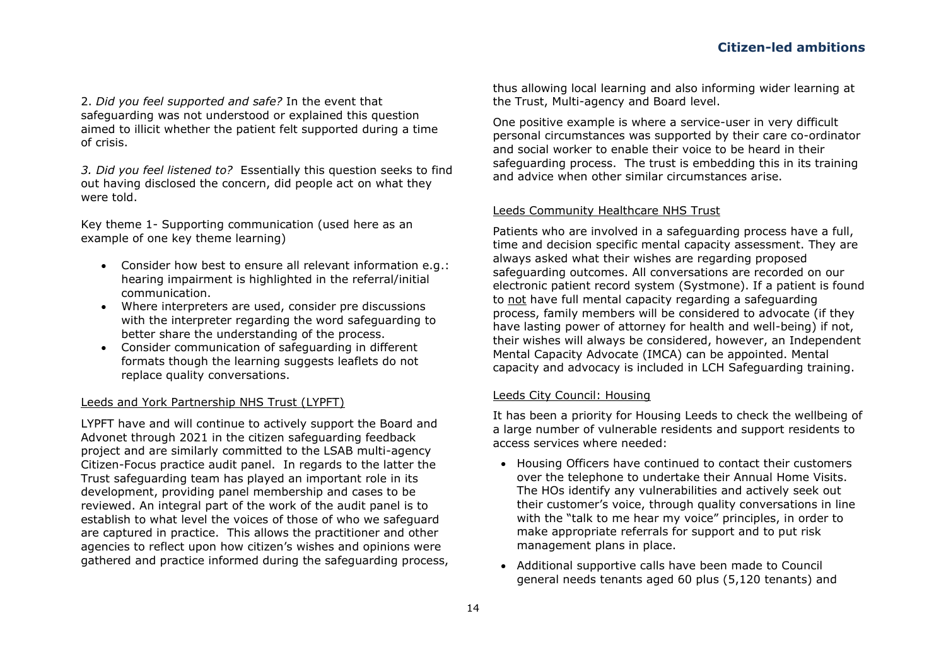2. *Did you feel supported and safe?* In the event that safeguarding was not understood or explained this question aimed to illicit whether the patient felt supported during a time of crisis.

*3. Did you feel listened to?* Essentially this question seeks to find out having disclosed the concern, did people act on what they were told.

Key theme 1- Supporting communication (used here as an example of one key theme learning)

- Consider how best to ensure all relevant information e.g.: hearing impairment is highlighted in the referral/initial communication.
- Where interpreters are used, consider pre discussions with the interpreter regarding the word safeguarding to better share the understanding of the process.
- Consider communication of safeguarding in different formats though the learning suggests leaflets do not replace quality conversations.

#### Leeds and York Partnership NHS Trust (LYPFT)

LYPFT have and will continue to actively support the Board and Advonet through 2021 in the citizen safeguarding feedback project and are similarly committed to the LSAB multi-agency Citizen-Focus practice audit panel. In regards to the latter the Trust safeguarding team has played an important role in its development, providing panel membership and cases to be reviewed. An integral part of the work of the audit panel is to establish to what level the voices of those of who we safeguard are captured in practice. This allows the practitioner and other agencies to reflect upon how citizen's wishes and opinions were gathered and practice informed during the safeguarding process,

thus allowing local learning and also informing wider learning at the Trust, Multi-agency and Board level.

One positive example is where a service-user in very difficult personal circumstances was supported by their care co-ordinator and social worker to enable their voice to be heard in their safeguarding process. The trust is embedding this in its training and advice when other similar circumstances arise.

#### Leeds Community Healthcare NHS Trust

Patients who are involved in a safeguarding process have a full, time and decision specific mental capacity assessment. They are always asked what their wishes are regarding proposed safeguarding outcomes. All conversations are recorded on our electronic patient record system (Systmone). If a patient is found to not have full mental capacity regarding a safeguarding process, family members will be considered to advocate (if they have lasting power of attorney for health and well-being) if not, their wishes will always be considered, however, an Independent Mental Capacity Advocate (IMCA) can be appointed. Mental capacity and advocacy is included in LCH Safeguarding training.

#### Leeds City Council: Housing

It has been a priority for Housing Leeds to check the wellbeing of a large number of vulnerable residents and support residents to access services where needed:

- Housing Officers have continued to contact their customers over the telephone to undertake their Annual Home Visits. The HOs identify any vulnerabilities and actively seek out their customer's voice, through quality conversations in line with the "talk to me hear my voice" principles, in order to make appropriate referrals for support and to put risk management plans in place.
- Additional supportive calls have been made to Council general needs tenants aged 60 plus (5,120 tenants) and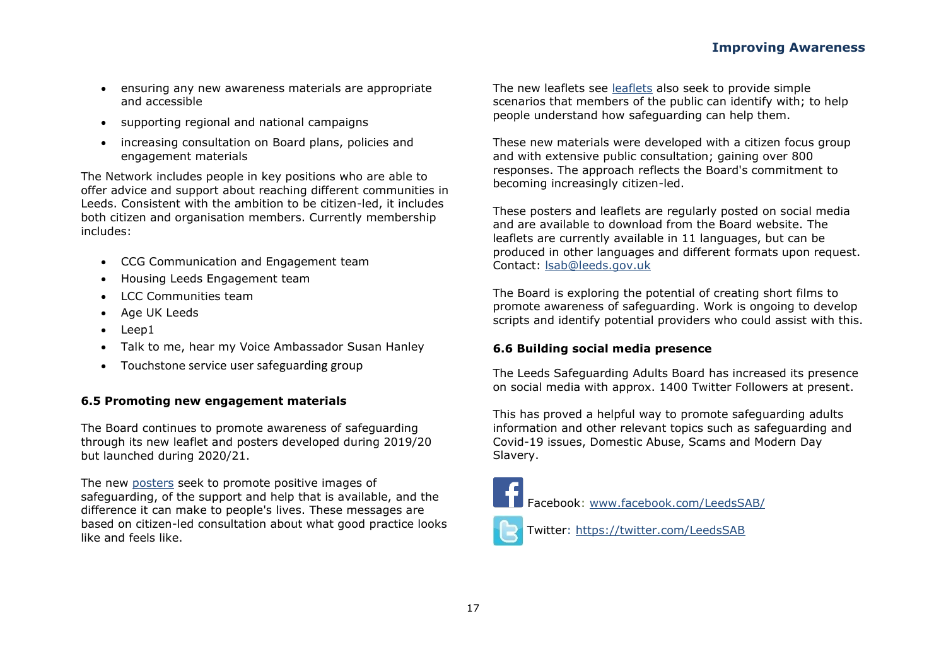- ensuring any new awareness materials are appropriate and accessible
- supporting regional and national campaigns
- increasing consultation on Board plans, policies and engagement materials

The Network includes people in key positions who are able to offer advice and support about reaching different communities in Leeds. Consistent with the ambition to be citizen-led, it includes both citizen and organisation members. Currently membership includes:

- CCG Communication and Engagement team
- Housing Leeds Engagement team
- LCC Communities team
- Age UK Leeds
- Leep1
- Talk to me, hear my Voice Ambassador Susan Hanley
- Touchstone service user safeguarding group

#### **6.5 Promoting new engagement materials**

The Board continues to promote awareness of safeguarding through its new leaflet and posters developed during 2019/20 but launched during 2020/21.

The new [posters](https://leedssafeguardingadults.org.uk/Documents/Safeguarding/Supporting%20people%20to%20be%20safe%20posters.pdf) seek to promote positive images of safeguarding, of the support and help that is available, and the difference it can make to people's lives. These messages are based on citizen-led consultation about what good practice looks like and feels like.

The new leaflets see [leaflets](https://leedssafeguardingadults.org.uk/Documents/Safeguarding/Supporting%20people%20to%20be%20safe%20leaflet.pdf) also seek to provide simple scenarios that members of the public can identify with; to help people understand how safeguarding can help them.

These new materials were developed with a citizen focus group and with extensive public consultation; gaining over 800 responses. The approach reflects the Board's commitment to becoming increasingly citizen-led.

These posters and leaflets are regularly posted on social media and are available to download from the Board website. The leaflets are currently available in 11 languages, but can be produced in other languages and different formats upon request. Contact: [lsab@leeds.gov.uk](mailto:lsab@leeds.gov.uk)

The Board is exploring the potential of creating short films to promote awareness of safeguarding. Work is ongoing to develop scripts and identify potential providers who could assist with this.

#### **6.6 Building social media presence**

The Leeds Safeguarding Adults Board has increased its presence on social media with approx. 1400 Twitter Followers at present.

This has proved a helpful way to promote safeguarding adults information and other relevant topics such as safeguarding and Covid-19 issues, Domestic Abuse, Scams and Modern Day Slavery.



Twitter:<https://twitter.com/LeedsSAB>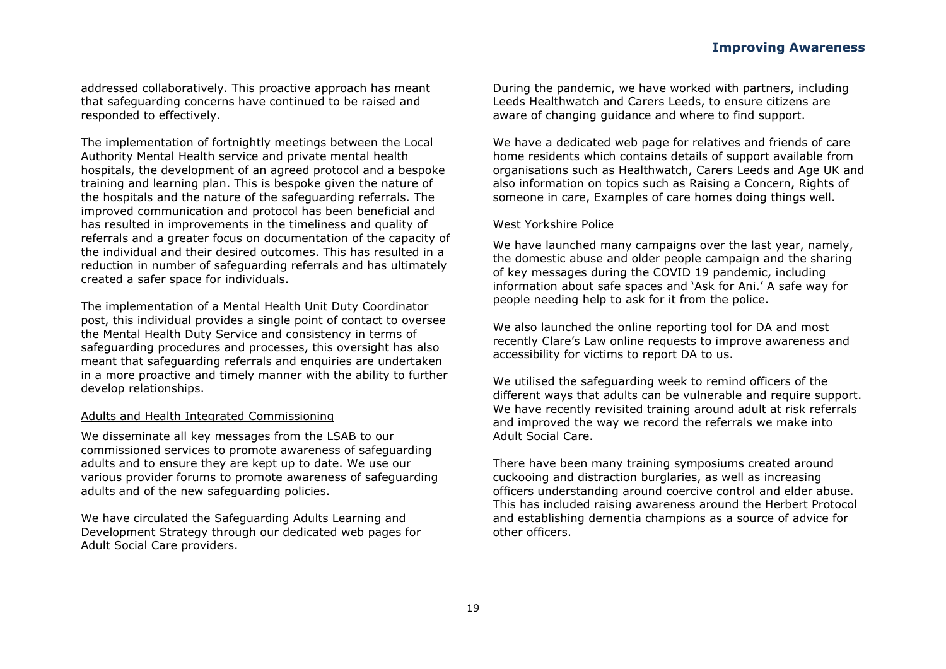addressed collaboratively. This proactive approach has meant that safeguarding concerns have continued to be raised and responded to effectively.

The implementation of fortnightly meetings between the Local Authority Mental Health service and private mental health hospitals, the development of an agreed protocol and a bespoke training and learning plan. This is bespoke given the nature of the hospitals and the nature of the safeguarding referrals. The improved communication and protocol has been beneficial and has resulted in improvements in the timeliness and quality of referrals and a greater focus on documentation of the capacity of the individual and their desired outcomes. This has resulted in a reduction in number of safeguarding referrals and has ultimately created a safer space for individuals.

The implementation of a Mental Health Unit Duty Coordinator post, this individual provides a single point of contact to oversee the Mental Health Duty Service and consistency in terms of safeguarding procedures and processes, this oversight has also meant that safeguarding referrals and enquiries are undertaken in a more proactive and timely manner with the ability to further develop relationships.

#### Adults and Health Integrated Commissioning

We disseminate all key messages from the LSAB to our commissioned services to promote awareness of safeguarding adults and to ensure they are kept up to date. We use our various provider forums to promote awareness of safeguarding adults and of the new safeguarding policies.

We have circulated the Safeguarding Adults Learning and Development Strategy through our dedicated web pages for Adult Social Care providers.

During the pandemic, we have worked with partners, including Leeds Healthwatch and Carers Leeds, to ensure citizens are aware of changing guidance and where to find support.

We have a dedicated web page for relatives and friends of care home residents which contains details of support available from organisations such as Healthwatch, Carers Leeds and Age UK and also information on topics such as Raising a Concern, Rights of someone in care, Examples of care homes doing things well.

#### West Yorkshire Police

We have launched many campaigns over the last year, namely, the domestic abuse and older people campaign and the sharing of key messages during the COVID 19 pandemic, including information about safe spaces and 'Ask for Ani.' A safe way for people needing help to ask for it from the police.

We also launched the online reporting tool for DA and most recently Clare's Law online requests to improve awareness and accessibility for victims to report DA to us.

We utilised the safeguarding week to remind officers of the different ways that adults can be vulnerable and require support. We have recently revisited training around adult at risk referrals and improved the way we record the referrals we make into Adult Social Care.

There have been many training symposiums created around cuckooing and distraction burglaries, as well as increasing officers understanding around coercive control and elder abuse. This has included raising awareness around the Herbert Protocol and establishing dementia champions as a source of advice for other officers.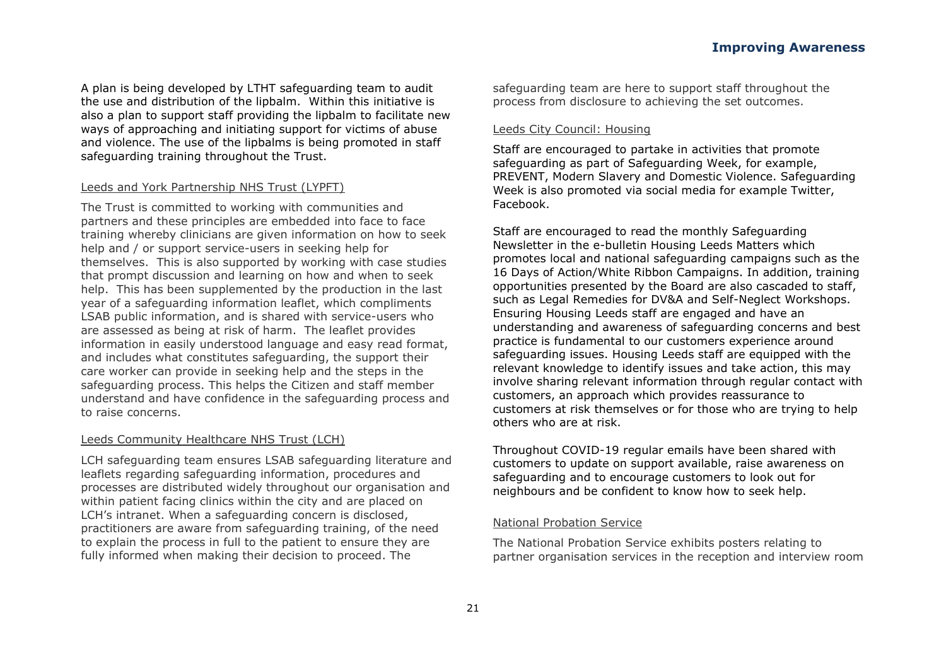Engagement Materials (new posters/ leaflets) and its newly developed Self -neglect Policy.

5.7 Talk to me. hear my safeguarding story

7 K H % R Dn Lull 5 Takency safequarding procedures set out how all organisations should work together and with the person at risk to prevent and end abuse.

In order for the Board to learn from citizens about their experiences of being helped and supported within these procedures it commissioned Advonet, an independent local advocacy organisation, to run a two year project until the end of  $2$  F W R F H II FAT KOLOMEG http://p/VDIHJXDUGLOJVWRU\T

The project gives people an opportunity to give honest and anonymous feedback about their experience of support which can be done through an on -line questionnaire or telephone conversation

Advonet collate the learning from the project for the Board; using a citizen panel to produce recommendations.

The project is due to report on findings during 2021/22. The Board will use this information to consider how it can impre ove outcomes for people supported within the multi -agency safequarding procedures.

5.8 Examples of good practice

Above and beyond the collective initiatives aligned above, each member organisation will take forward these ambitions within their own organisation and networks. These are just some examples from member organisations of their work in these areas:

Leeds Ci ty Council: Adults and Health

Care Delivery:

Within the in -house service provision we have ensured that the voices of people who use the service have been heard by holding better conversations, and using strength and asset based DSSURDFKHV WR HQVXUH WKDW LQGLYLGXDO¶V SHUV own voices. This resulted in identificati on of outcome - based goals and aspirations. The service also actively sought opportunities to reach out to

people accessing the service, and their carers to improve lines of communication through methods such as additional consultation exercises.

Communi ty and specialist social work services:

The further development of strength -based practice has been a fundamental aspect of working within a pandemic. A reflection session was undertaken addressing the fundamental questions in terms of strength - based appr oaches in relation to the following set of questions:

- x How can I uphold the inherent dignity of people?
- x How can I uphold human rights, including the right to life. the right to freedom, the right to liberty and the right to respect for family and private I ife?

These practice - based reflections were then used to enhance and strengthen practice with individuals, ensuring that the plans that were put in place following a safeguarding incident or enquiry are HIIHFWLYH DQG FRQVLVWHQW ZLWKiraibhRSOH¶V ZLVKH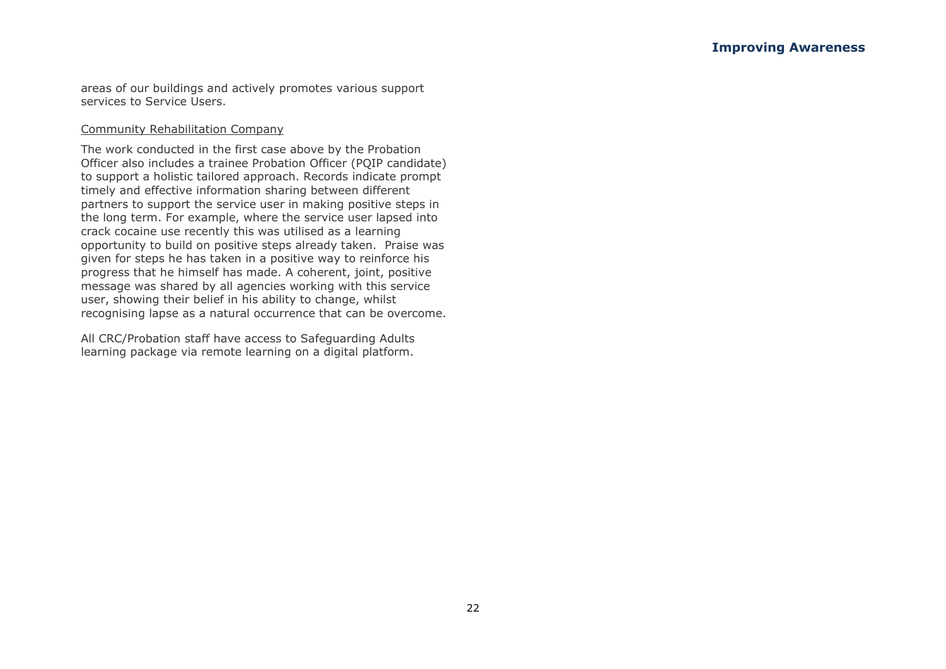areas of our buildings and actively promotes various support services to Service Users.

#### Community Rehabilitation Company

The work conducted in the first case above by the Probation Officer also includes a trainee Probation Officer (PQIP candidate) to support a holistic tailored approach. Records indicate prompt timely and effective information sharing between different partners to support the service user in making positive steps in the long term. For example, where the service user lapsed into crack cocaine use recently this was utilised as a learning opportunity to build on positive steps already taken. Praise was given for steps he has taken in a positive way to reinforce his progress that he himself has made. A coherent, joint, positive message was shared by all agencies working with this service user, showing their belief in his ability to change, whilst recognising lapse as a natural occurrence that can be overcome.

All CRC/Probation staff have access to Safeguarding Adults learning package via remote learning on a digital platform.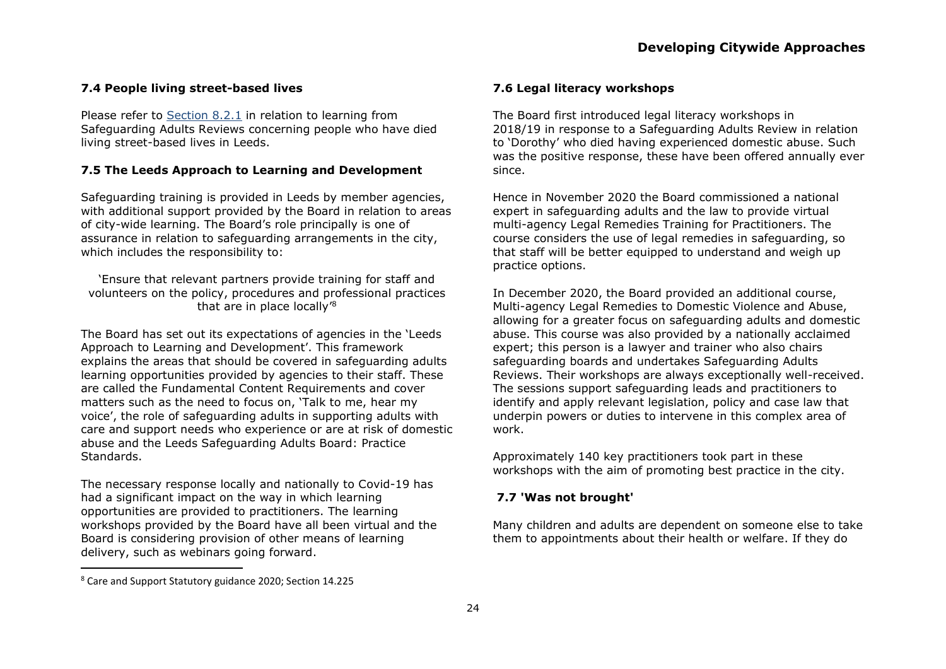#### **7.4 People living street-based lives**

Please refer to [Section 8.2.1](#page-40-0) in relation to learning from Safeguarding Adults Reviews concerning people who have died living street-based lives in Leeds.

#### **7.5 The Leeds Approach to Learning and Development**

Safeguarding training is provided in Leeds by member agencies, with additional support provided by the Board in relation to areas of city-wide learning. The Board's role principally is one of assurance in relation to safeguarding arrangements in the city, which includes the responsibility to:

'Ensure that relevant partners provide training for staff and volunteers on the policy, procedures and professional practices that are in place locally'<sup>8</sup>

The Board has set out its expectations of agencies in the 'Leeds Approach to Learning and Development'. This framework explains the areas that should be covered in safeguarding adults learning opportunities provided by agencies to their staff. These are called the Fundamental Content Requirements and cover matters such as the need to focus on, 'Talk to me, hear my voice', the role of safeguarding adults in supporting adults with care and support needs who experience or are at risk of domestic abuse and the Leeds Safeguarding Adults Board: Practice Standards.

The necessary response locally and nationally to Covid-19 has had a significant impact on the way in which learning opportunities are provided to practitioners. The learning workshops provided by the Board have all been virtual and the Board is considering provision of other means of learning delivery, such as webinars going forward.

#### **7.6 Legal literacy workshops**

The Board first introduced legal literacy workshops in 2018/19 in response to a Safeguarding Adults Review in relation to 'Dorothy' who died having experienced domestic abuse. Such was the positive response, these have been offered annually ever since.

Hence in November 2020 the Board commissioned a national expert in safeguarding adults and the law to provide virtual multi-agency Legal Remedies Training for Practitioners. The course considers the use of legal remedies in safeguarding, so that staff will be better equipped to understand and weigh up practice options.

In December 2020, the Board provided an additional course, Multi-agency Legal Remedies to Domestic Violence and Abuse, allowing for a greater focus on safeguarding adults and domestic abuse. This course was also provided by a nationally acclaimed expert; this person is a lawyer and trainer who also chairs safeguarding boards and undertakes Safeguarding Adults Reviews. Their workshops are always exceptionally well-received. The sessions support safeguarding leads and practitioners to identify and apply relevant legislation, policy and case law that underpin powers or duties to intervene in this complex area of work.

Approximately 140 key practitioners took part in these workshops with the aim of promoting best practice in the city.

#### **7.7 'Was not brought'**

Many children and adults are dependent on someone else to take them to appointments about their health or welfare. If they do

<sup>8</sup> Care and Support Statutory guidance 2020; Section 14.225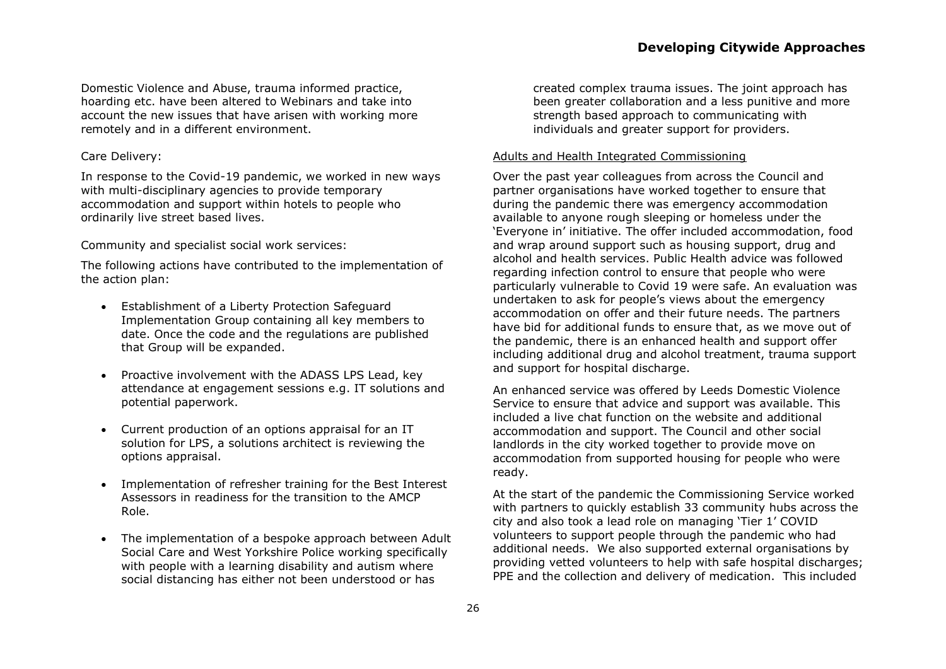Domestic Violence and Abuse, trauma informed practice, hoarding etc. have been altered to Webinars and take into account the new issues that have arisen with working more remotely and in a different environment.

#### Care Delivery:

In response to the Covid-19 pandemic, we worked in new ways with multi-disciplinary agencies to provide temporary accommodation and support within hotels to people who ordinarily live street based lives.

Community and specialist social work services:

The following actions have contributed to the implementation of the action plan:

- Establishment of a Liberty Protection Safeguard Implementation Group containing all key members to date. Once the code and the regulations are published that Group will be expanded.
- Proactive involvement with the ADASS LPS Lead, key attendance at engagement sessions e.g. IT solutions and potential paperwork.
- Current production of an options appraisal for an IT solution for LPS, a solutions architect is reviewing the options appraisal.
- Implementation of refresher training for the Best Interest Assessors in readiness for the transition to the AMCP Role.
- The implementation of a bespoke approach between Adult Social Care and West Yorkshire Police working specifically with people with a learning disability and autism where social distancing has either not been understood or has

created complex trauma issues. The joint approach has been greater collaboration and a less punitive and more strength based approach to communicating with individuals and greater support for providers.

#### Adults and Health Integrated Commissioning

Over the past year colleagues from across the Council and partner organisations have worked together to ensure that during the pandemic there was emergency accommodation available to anyone rough sleeping or homeless under the 'Everyone in' initiative. The offer included accommodation, food and wrap around support such as housing support, drug and alcohol and health services. Public Health advice was followed regarding infection control to ensure that people who were particularly vulnerable to Covid 19 were safe. An evaluation was undertaken to ask for people's views about the emergency accommodation on offer and their future needs. The partners have bid for additional funds to ensure that, as we move out of the pandemic, there is an enhanced health and support offer including additional drug and alcohol treatment, trauma support and support for hospital discharge.

An enhanced service was offered by Leeds Domestic Violence Service to ensure that advice and support was available. This included a live chat function on the website and additional accommodation and support. The Council and other social landlords in the city worked together to provide move on accommodation from supported housing for people who were ready.

At the start of the pandemic the Commissioning Service worked with partners to quickly establish 33 community hubs across the city and also took a lead role on managing 'Tier 1' COVID volunteers to support people through the pandemic who had additional needs. We also supported external organisations by providing vetted volunteers to help with safe hospital discharges; PPE and the collection and delivery of medication. This included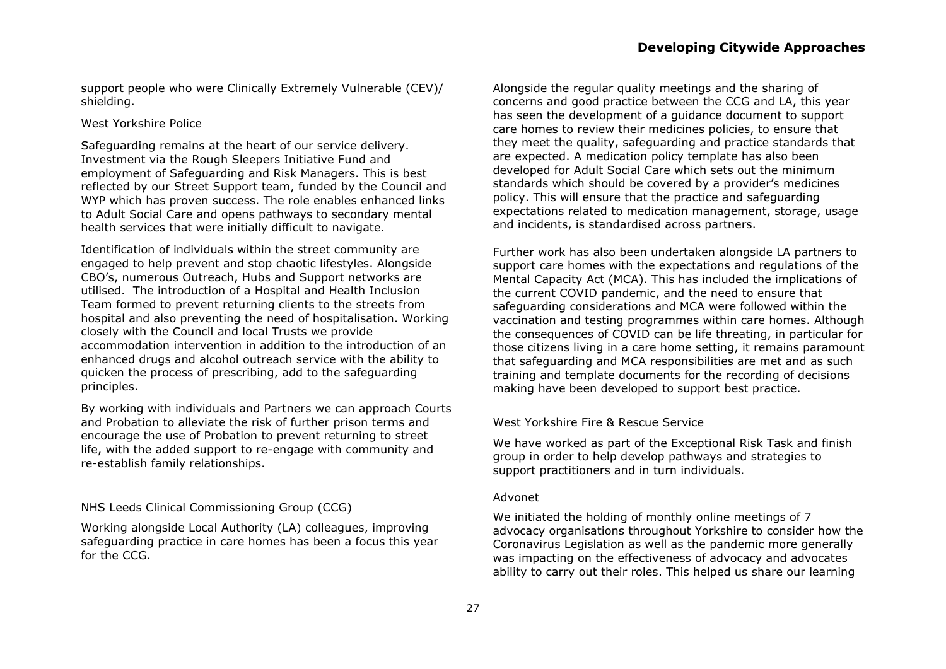support people who were Clinically Extremely Vulnerable (CEV)/ shielding.

#### West Yorkshire Police

Safeguarding remains at the heart of our service delivery. Investment via the Rough Sleepers Initiative Fund and employment of Safeguarding and Risk Managers. This is best reflected by our Street Support team, funded by the Council and WYP which has proven success. The role enables enhanced links to Adult Social Care and opens pathways to secondary mental health services that were initially difficult to navigate.

Identification of individuals within the street community are engaged to help prevent and stop chaotic lifestyles. Alongside CBO's, numerous Outreach, Hubs and Support networks are utilised. The introduction of a Hospital and Health Inclusion Team formed to prevent returning clients to the streets from hospital and also preventing the need of hospitalisation. Working closely with the Council and local Trusts we provide accommodation intervention in addition to the introduction of an enhanced drugs and alcohol outreach service with the ability to quicken the process of prescribing, add to the safeguarding principles.

By working with individuals and Partners we can approach Courts and Probation to alleviate the risk of further prison terms and encourage the use of Probation to prevent returning to street life, with the added support to re-engage with community and re-establish family relationships.

#### NHS Leeds Clinical Commissioning Group (CCG)

Working alongside Local Authority (LA) colleagues, improving safeguarding practice in care homes has been a focus this year for the CCG.

Alongside the regular quality meetings and the sharing of concerns and good practice between the CCG and LA, this year has seen the development of a guidance document to support care homes to review their medicines policies, to ensure that they meet the quality, safeguarding and practice standards that are expected. A medication policy template has also been developed for Adult Social Care which sets out the minimum standards which should be covered by a provider's medicines policy. This will ensure that the practice and safeguarding expectations related to medication management, storage, usage and incidents, is standardised across partners.

Further work has also been undertaken alongside LA partners to support care homes with the expectations and regulations of the Mental Capacity Act (MCA). This has included the implications of the current COVID pandemic, and the need to ensure that safeguarding considerations and MCA were followed within the vaccination and testing programmes within care homes. Although the consequences of COVID can be life threating, in particular for those citizens living in a care home setting, it remains paramount that safeguarding and MCA responsibilities are met and as such training and template documents for the recording of decisions making have been developed to support best practice.

#### West Yorkshire Fire & Rescue Service

We have worked as part of the Exceptional Risk Task and finish group in order to help develop pathways and strategies to support practitioners and in turn individuals.

#### Advonet

We initiated the holding of monthly online meetings of 7 advocacy organisations throughout Yorkshire to consider how the Coronavirus Legislation as well as the pandemic more generally was impacting on the effectiveness of advocacy and advocates ability to carry out their roles. This helped us share our learning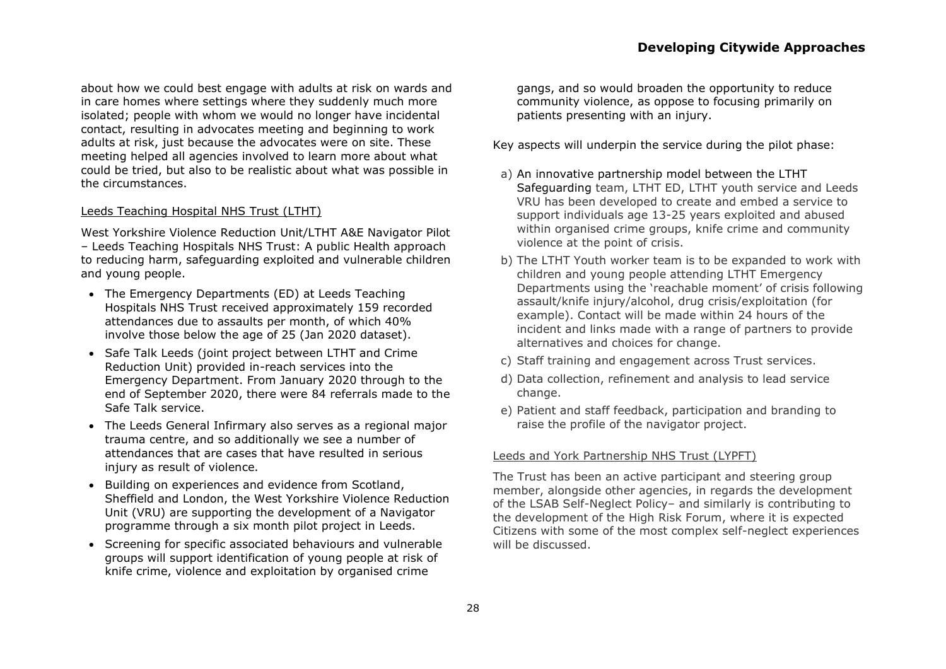about how we could best engage with adults at risk on wards and in care homes where settings where they suddenly much more isolated; people with whom we would no longer have incidental contact, resulting in advocates meeting and beginning to work adults at risk, just because the advocates were on site. These meeting helped all agencies involved to learn more about what could be tried, but also to be realistic about what was possible in the circumstances.

#### Leeds Teaching Hospital NHS Trust (LTHT)

West Yorkshire Violence Reduction Unit/LTHT A&E Navigator Pilot – Leeds Teaching Hospitals NHS Trust: A public Health approach to reducing harm, safeguarding exploited and vulnerable children and young people.

- The Emergency Departments (ED) at Leeds Teaching Hospitals NHS Trust received approximately 159 recorded attendances due to assaults per month, of which 40% involve those below the age of 25 (Jan 2020 dataset).
- Safe Talk Leeds (joint project between LTHT and Crime Reduction Unit) provided in-reach services into the Emergency Department. From January 2020 through to the end of September 2020, there were 84 referrals made to the Safe Talk service.
- The Leeds General Infirmary also serves as a regional major trauma centre, and so additionally we see a number of attendances that are cases that have resulted in serious injury as result of violence.
- Building on experiences and evidence from Scotland, Sheffield and London, the West Yorkshire Violence Reduction Unit (VRU) are supporting the development of a Navigator programme through a six month pilot project in Leeds.
- Screening for specific associated behaviours and vulnerable groups will support identification of young people at risk of knife crime, violence and exploitation by organised crime

gangs, and so would broaden the opportunity to reduce community violence, as oppose to focusing primarily on patients presenting with an injury.

Key aspects will underpin the service during the pilot phase:

- a) An innovative partnership model between the LTHT Safeguarding team, LTHT ED, LTHT youth service and Leeds VRU has been developed to create and embed a service to support individuals age 13-25 years exploited and abused within organised crime groups, knife crime and community violence at the point of crisis.
- b) The LTHT Youth worker team is to be expanded to work with children and young people attending LTHT Emergency Departments using the 'reachable moment' of crisis following assault/knife injury/alcohol, drug crisis/exploitation (for example). Contact will be made within 24 hours of the incident and links made with a range of partners to provide alternatives and choices for change.
- c) Staff training and engagement across Trust services.
- d) Data collection, refinement and analysis to lead service change.
- e) Patient and staff feedback, participation and branding to raise the profile of the navigator project.

#### Leeds and York Partnership NHS Trust (LYPFT)

The Trust has been an active participant and steering group member, alongside other agencies, in regards the development of the LSAB Self-Neglect Policy– and similarly is contributing to the development of the High Risk Forum, where it is expected Citizens with some of the most complex self-neglect experiences will be discussed.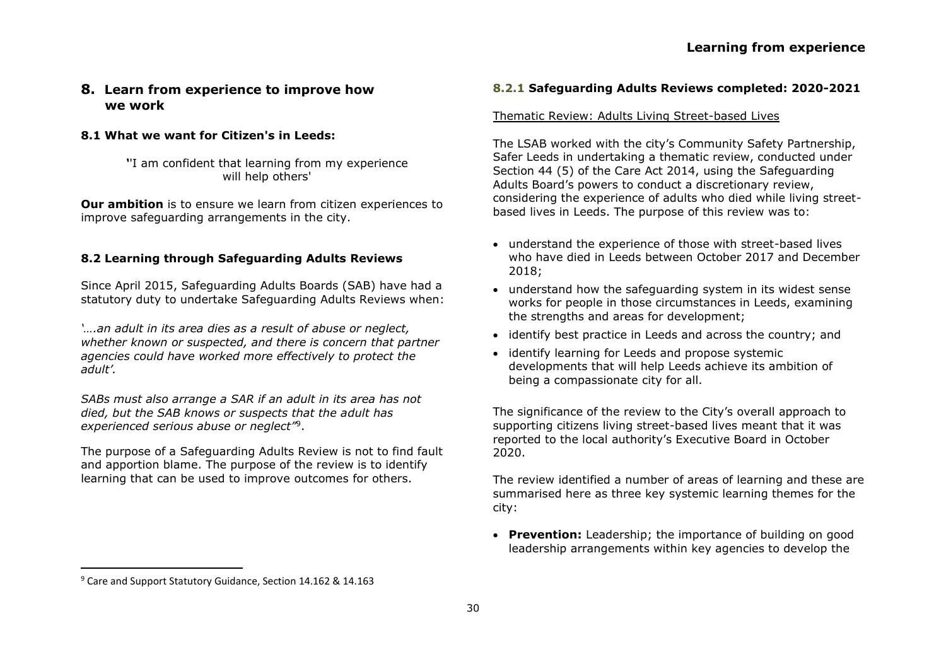## **8. Learn from experience to improve how we work**

#### **8.1 What we want for Citizen's in Leeds:**

*'*'I am confident that learning from my experience will help others'

**Our ambition** is to ensure we learn from citizen experiences to improve safeguarding arrangements in the city.

#### **8.2 Learning through Safeguarding Adults Reviews**

Since April 2015, Safeguarding Adults Boards (SAB) have had a statutory duty to undertake Safeguarding Adults Reviews when:

*'….an adult in its area dies as a result of abuse or neglect, whether known or suspected, and there is concern that partner agencies could have worked more effectively to protect the adult'.* 

*SABs must also arrange a SAR if an adult in its area has not died, but the SAB knows or suspects that the adult has experienced serious abuse or neglect"*<sup>9</sup> .

The purpose of a Safeguarding Adults Review is not to find fault and apportion blame. The purpose of the review is to identify learning that can be used to improve outcomes for others.

#### **8.2.1 Safeguarding Adults Reviews completed: 2020-2021**

#### <span id="page-40-0"></span>Thematic Review: Adults Living Street-based Lives

The LSAB worked with the city's Community Safety Partnership, Safer Leeds in undertaking a thematic review, conducted under Section 44 (5) of the Care Act 2014, using the Safeguarding Adults Board's powers to conduct a discretionary review, considering the experience of adults who died while living streetbased lives in Leeds. The purpose of this review was to:

- understand the experience of those with street-based lives who have died in Leeds between October 2017 and December 2018;
- understand how the safeguarding system in its widest sense works for people in those circumstances in Leeds, examining the strengths and areas for development;
- identify best practice in Leeds and across the country; and
- identify learning for Leeds and propose systemic developments that will help Leeds achieve its ambition of being a compassionate city for all.

The significance of the review to the City's overall approach to supporting citizens living street-based lives meant that it was reported to the local authority's Executive Board in October 2020.

The review identified a number of areas of learning and these are summarised here as three key systemic learning themes for the city:

• **Prevention:** Leadership; the importance of building on good leadership arrangements within key agencies to develop the

<sup>9</sup> Care and Support Statutory Guidance, Section 14.162 & 14.163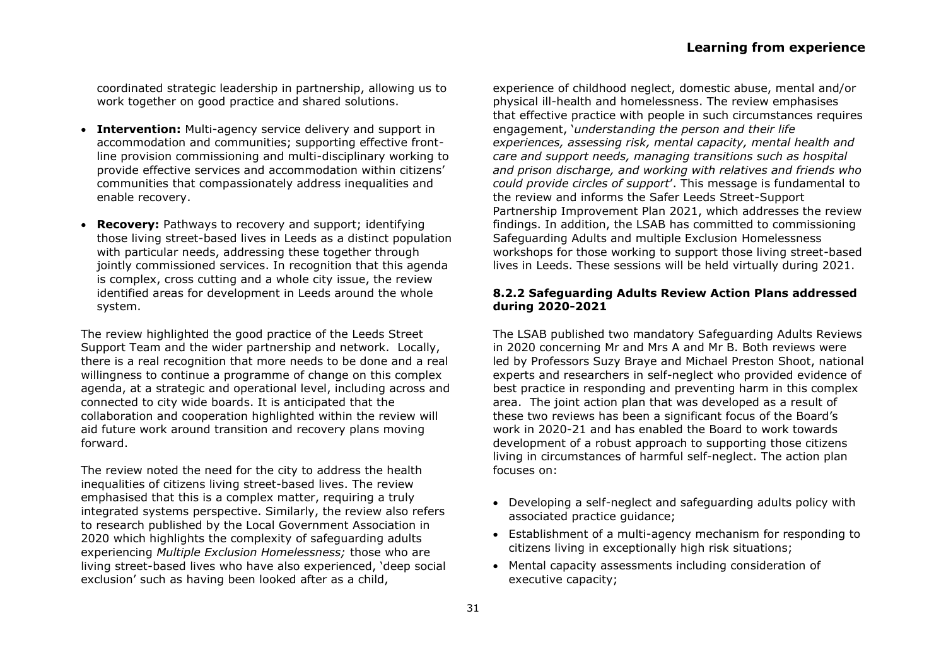coordinated strategic leadership in partnership, allowing us to work together on good practice and shared solutions.

- **Intervention:** Multi-agency service delivery and support in accommodation and communities; supporting effective frontline provision commissioning and multi-disciplinary working to provide effective services and accommodation within citizens' communities that compassionately address inequalities and enable recovery.
- **Recovery:** Pathways to recovery and support; identifying those living street-based lives in Leeds as a distinct population with particular needs, addressing these together through jointly commissioned services. In recognition that this agenda is complex, cross cutting and a whole city issue, the review identified areas for development in Leeds around the whole system.

The review highlighted the good practice of the Leeds Street Support Team and the wider partnership and network. Locally, there is a real recognition that more needs to be done and a real willingness to continue a programme of change on this complex agenda, at a strategic and operational level, including across and connected to city wide boards. It is anticipated that the collaboration and cooperation highlighted within the review will aid future work around transition and recovery plans moving forward.

The review noted the need for the city to address the health inequalities of citizens living street-based lives. The review emphasised that this is a complex matter, requiring a truly integrated systems perspective. Similarly, the review also refers to research published by the Local Government Association in 2020 which highlights the complexity of safeguarding adults experiencing *Multiple Exclusion Homelessness;* those who are living street-based lives who have also experienced, 'deep social exclusion' such as having been looked after as a child,

experience of childhood neglect, domestic abuse, mental and/or physical ill-health and homelessness. The review emphasises that effective practice with people in such circumstances requires engagement, '*understanding the person and their life experiences, assessing risk, mental capacity, mental health and care and support needs, managing transitions such as hospital and prison discharge, and working with relatives and friends who could provide circles of support*'. This message is fundamental to the review and informs the Safer Leeds Street-Support Partnership Improvement Plan 2021, which addresses the review findings. In addition, the LSAB has committed to commissioning Safeguarding Adults and multiple Exclusion Homelessness workshops for those working to support those living street-based lives in Leeds. These sessions will be held virtually during 2021.

#### **8.2.2 Safeguarding Adults Review Action Plans addressed during 2020-2021**

The LSAB published two mandatory Safeguarding Adults Reviews in 2020 concerning Mr and Mrs A and Mr B. Both reviews were led by Professors Suzy Braye and Michael Preston Shoot, national experts and researchers in self-neglect who provided evidence of best practice in responding and preventing harm in this complex area. The joint action plan that was developed as a result of these two reviews has been a significant focus of the Board's work in 2020-21 and has enabled the Board to work towards development of a robust approach to supporting those citizens living in circumstances of harmful self-neglect. The action plan focuses on:

- Developing a self-neglect and safeguarding adults policy with associated practice guidance;
- Establishment of a multi-agency mechanism for responding to citizens living in exceptionally high risk situations;
- Mental capacity assessments including consideration of executive capacity;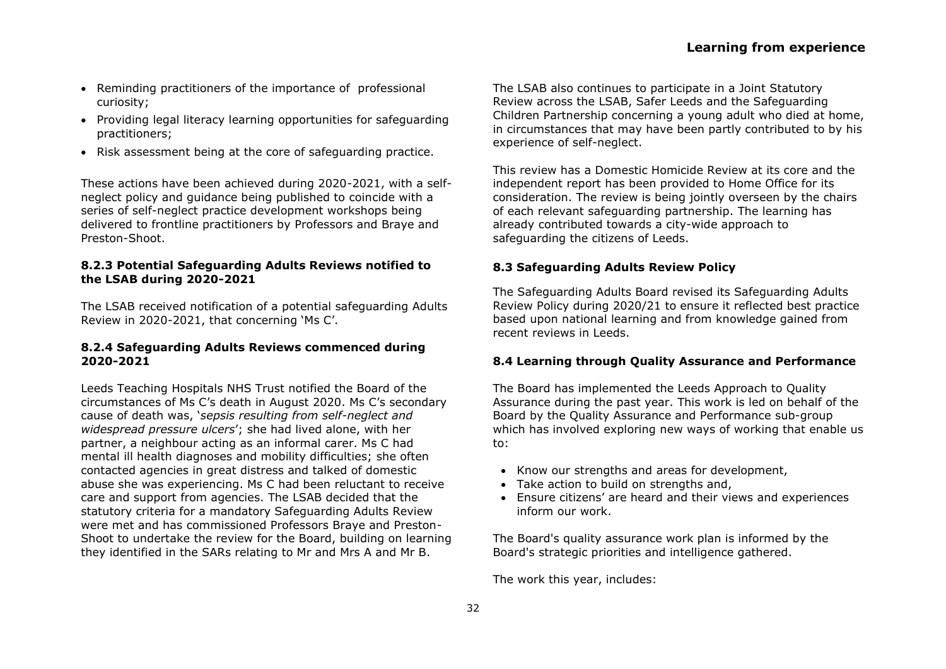#### 1. Leeds Safeguarding Adults Board  $20, 20 / 21$

What is safeguarding adults?  $1.1$ 

Safeguarding adults responsibilities are explained in the Care Act 2014 and the Care and Support Statutory Guidance 2020. The aims of safeguarding adults are to:

- x prevent harm and reduce the risk of abuse or neglect to adults with care and support needs
- x stop abuse or neglect wherever possible
- x safeguard adults in a way that supports them in making choices and having control about how they want to live
- x promote an approach that concentrates on improving life for the adults concerned
- x raise public awareness so that communities as a whole. alongside professionals, play their part in preventing, identifying and responding to abuse and neglect
- provide information and support in access  $\mathsf{x}$ ible ways to help people understand the different types of abuse, how to stay safe and what to do to raise a concern about the safety or well - being of an adult

 $\overline{1}$ 

 $\tilde{?}$ 

- address what has caused the abuse or neglect  $\mathsf{x}$
- What are Safeguarding Adult Boards  $1.2$

Safeguarding Adults Boards are established under the Care Act 2014. The objective of Safeguarding Adults Board is to help and protect adults in its area who have needs for care and support,

and as a result of these, are unable to protect themselves from abuse, neglect, self -neglect or the risk of it.

The way the Board works to achieve its objectives is by coordinating the work of agencies and ensuring the effectiveness of what each of its members does  $\overline{2}$ 

Safeguarding Adu Its Boards have specific duties as set out in Schedule 2 of the Act <sup>3</sup>. This includes producing Annual Reports, Strategic Plans and undertaking Safeguarding Adults Reviews

as a strategic body, It is important to note that the Board neither commission s nor deliver s safeguarding services itself, Instead. these are provided by a range of organisations across the city. who are accountable and responsibile for their services and safequarding practice.

#### on the Board? Which organisations are  $1.3$

A wide range of organisations are represented on the Safeg uarding Adults Board in Leeds. This incl udes senior representatives from:

- x Leeds City Council: Adults & Health,
- x West Yorkshire Police
- x NHS Leeds Clinical Commissioning Group
- x Leeds and York Partners hip NHS Trust
- x Leeds Teaching Hospital NHS Trust
- x Leeds Community Healthcare NHS Trust
- x West Yorkshire Community Rehabilitation Company
- x National Probation Service
- x West Yorkshire Fire and Rescue

<sup>&</sup>lt;sup>1</sup> Care and Support Statutory Guidance, Seclient 1

<sup>&</sup>lt;sup>2</sup> Care Act 2014, Section 43(3)

<sup>&</sup>lt;sup>3</sup> Care Act 2014. Sedule 2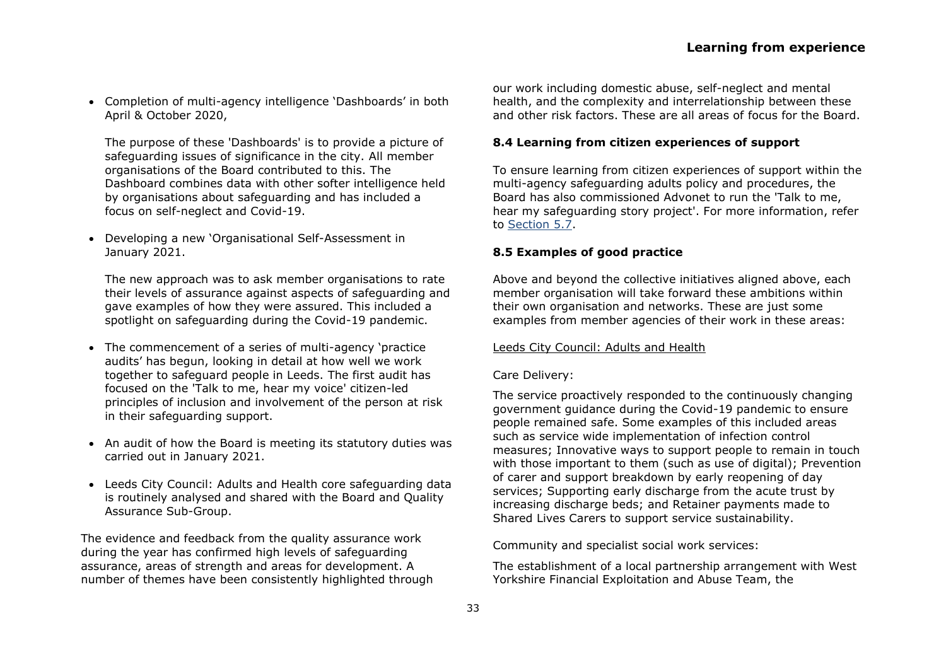• Completion of multi-agency intelligence 'Dashboards' in both April & October 2020,

The purpose of these 'Dashboards' is to provide a picture of safeguarding issues of significance in the city. All member organisations of the Board contributed to this. The Dashboard combines data with other softer intelligence held by organisations about safeguarding and has included a focus on self-neglect and Covid-19.

• Developing a new 'Organisational Self-Assessment in January 2021.

The new approach was to ask member organisations to rate their levels of assurance against aspects of safeguarding and gave examples of how they were assured. This included a spotlight on safeguarding during the Covid-19 pandemic.

- The commencement of a series of multi-agency 'practice audits' has begun, looking in detail at how well we work together to safeguard people in Leeds. The first audit has focused on the 'Talk to me, hear my voice' citizen-led principles of inclusion and involvement of the person at risk in their safeguarding support.
- An audit of how the Board is meeting its statutory duties was carried out in January 2021.
- Leeds City Council: Adults and Health core safeguarding data is routinely analysed and shared with the Board and Quality Assurance Sub-Group.

The evidence and feedback from the quality assurance work during the year has confirmed high levels of safeguarding assurance, areas of strength and areas for development. A number of themes have been consistently highlighted through

our work including domestic abuse, self-neglect and mental health, and the complexity and interrelationship between these and other risk factors. These are all areas of focus for the Board.

#### **8.4 Learning from citizen experiences of support**

To ensure learning from citizen experiences of support within the multi-agency safeguarding adults policy and procedures, the Board has also commissioned Advonet to run the 'Talk to me, hear my safeguarding story project'. For more information, refer to [Section 5.7.](#page-21-0)

#### **8.5 Examples of good practice**

Above and beyond the collective initiatives aligned above, each member organisation will take forward these ambitions within their own organisation and networks. These are just some examples from member agencies of their work in these areas:

#### Leeds City Council: Adults and Health

#### Care Delivery:

The service proactively responded to the continuously changing government guidance during the Covid-19 pandemic to ensure people remained safe. Some examples of this included areas such as service wide implementation of infection control measures; Innovative ways to support people to remain in touch with those important to them (such as use of digital); Prevention of carer and support breakdown by early reopening of day services; Supporting early discharge from the acute trust by increasing discharge beds; and Retainer payments made to Shared Lives Carers to support service sustainability.

Community and specialist social work services:

The establishment of a local partnership arrangement with West Yorkshire Financial Exploitation and Abuse Team, the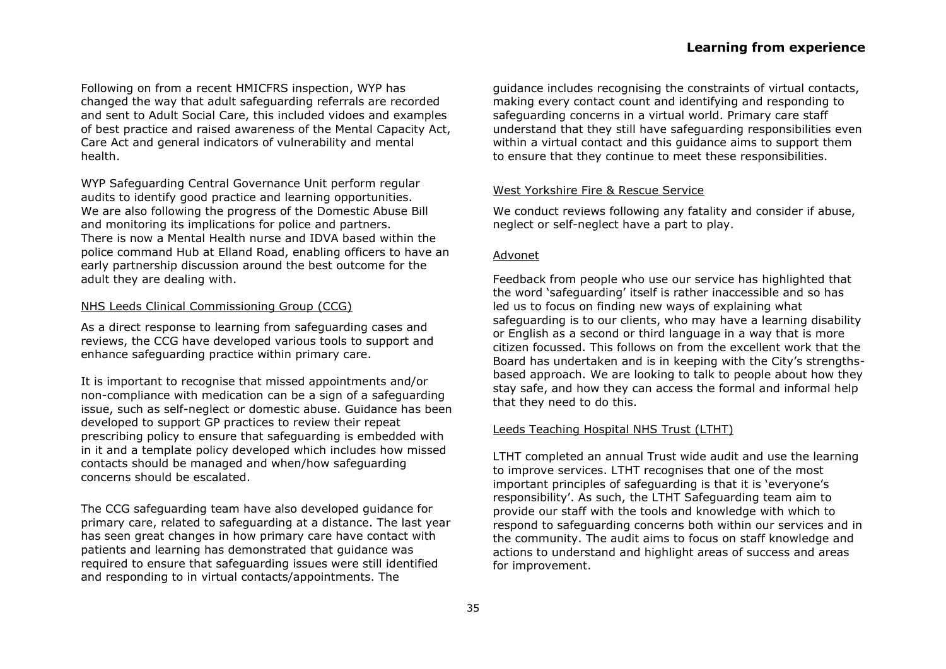Following on from a recent HMICFRS inspection, WYP has changed the way that adult safeguarding referrals are recorded and sent to Adult Social Care, this included vidoes and examples of best practice and raised awareness of the Mental Capacity Act, Care Act and general indicators of vulnerability and mental health.

WYP Safeguarding Central Governance Unit perform regular audits to identify good practice and learning opportunities. We are also following the progress of the Domestic Abuse Bill and monitoring its implications for police and partners. There is now a Mental Health nurse and IDVA based within the police command Hub at Elland Road, enabling officers to have an early partnership discussion around the best outcome for the adult they are dealing with.

#### NHS Leeds Clinical Commissioning Group (CCG)

As a direct response to learning from safeguarding cases and reviews, the CCG have developed various tools to support and enhance safeguarding practice within primary care.

It is important to recognise that missed appointments and/or non-compliance with medication can be a sign of a safeguarding issue, such as self-neglect or domestic abuse. Guidance has been developed to support GP practices to review their repeat prescribing policy to ensure that safeguarding is embedded with in it and a template policy developed which includes how missed contacts should be managed and when/how safeguarding concerns should be escalated.

The CCG safeguarding team have also developed guidance for primary care, related to safeguarding at a distance. The last year has seen great changes in how primary care have contact with patients and learning has demonstrated that guidance was required to ensure that safeguarding issues were still identified and responding to in virtual contacts/appointments. The

guidance includes recognising the constraints of virtual contacts, making every contact count and identifying and responding to safeguarding concerns in a virtual world. Primary care staff understand that they still have safeguarding responsibilities even within a virtual contact and this guidance aims to support them to ensure that they continue to meet these responsibilities.

#### West Yorkshire Fire & Rescue Service

We conduct reviews following any fatality and consider if abuse, neglect or self-neglect have a part to play.

#### Advonet

Feedback from people who use our service has highlighted that the word 'safeguarding' itself is rather inaccessible and so has led us to focus on finding new ways of explaining what safeguarding is to our clients, who may have a learning disability or English as a second or third language in a way that is more citizen focussed. This follows on from the excellent work that the Board has undertaken and is in keeping with the City's strengthsbased approach. We are looking to talk to people about how they stay safe, and how they can access the formal and informal help that they need to do this.

#### Leeds Teaching Hospital NHS Trust (LTHT)

LTHT completed an annual Trust wide audit and use the learning to improve services. LTHT recognises that one of the most important principles of safeguarding is that it is 'everyone's responsibility'. As such, the LTHT Safeguarding team aim to provide our staff with the tools and knowledge with which to respond to safeguarding concerns both within our services and in the community. The audit aims to focus on staff knowledge and actions to understand and highlight areas of success and areas for improvement.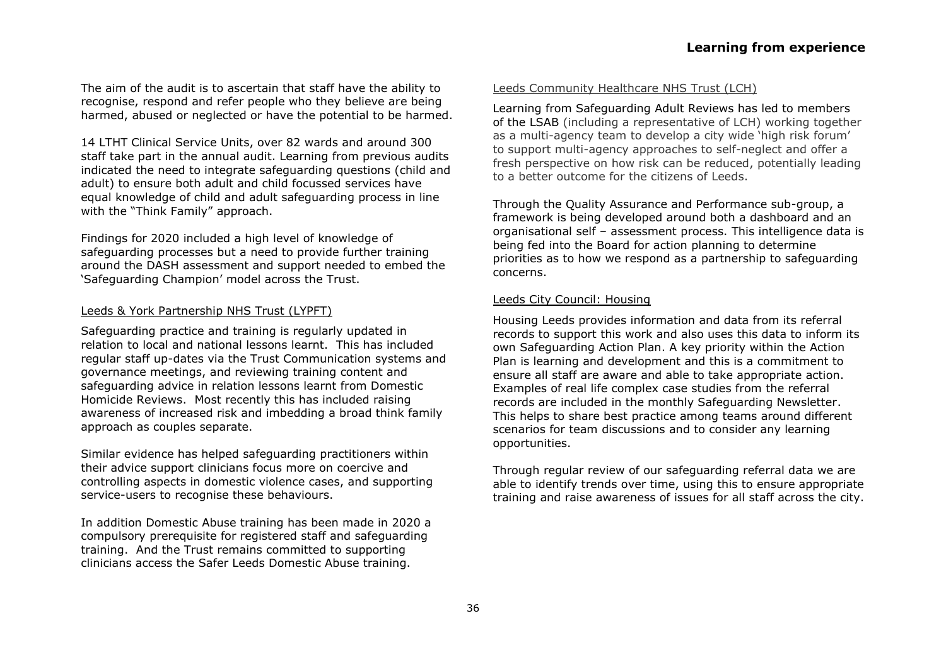The aim of the audit is to ascertain that staff have the ability to recognise, respond and refer people who they believe are being harmed, abused or neglected or have the potential to be harmed.

14 LTHT Clinical Service Units, over 82 wards and around 300 staff take part in the annual audit. Learning from previous audits indicated the need to integrate safeguarding questions (child and adult) to ensure both adult and child focussed services have equal knowledge of child and adult safeguarding process in line with the "Think Family" approach.

Findings for 2020 included a high level of knowledge of safeguarding processes but a need to provide further training around the DASH assessment and support needed to embed the 'Safeguarding Champion' model across the Trust.

#### Leeds & York Partnership NHS Trust (LYPFT)

Safeguarding practice and training is regularly updated in relation to local and national lessons learnt. This has included regular staff up-dates via the Trust Communication systems and governance meetings, and reviewing training content and safeguarding advice in relation lessons learnt from Domestic Homicide Reviews. Most recently this has included raising awareness of increased risk and imbedding a broad think family approach as couples separate.

Similar evidence has helped safeguarding practitioners within their advice support clinicians focus more on coercive and controlling aspects in domestic violence cases, and supporting service-users to recognise these behaviours.

In addition Domestic Abuse training has been made in 2020 a compulsory prerequisite for registered staff and safeguarding training. And the Trust remains committed to supporting clinicians access the Safer Leeds Domestic Abuse training.

#### Leeds Community Healthcare NHS Trust (LCH)

Learning from Safeguarding Adult Reviews has led to members of the LSAB (including a representative of LCH) working together as a multi-agency team to develop a city wide 'high risk forum' to support multi-agency approaches to self-neglect and offer a fresh perspective on how risk can be reduced, potentially leading to a better outcome for the citizens of Leeds.

Through the Quality Assurance and Performance sub-group, a framework is being developed around both a dashboard and an organisational self – assessment process. This intelligence data is being fed into the Board for action planning to determine priorities as to how we respond as a partnership to safeguarding concerns.

#### Leeds City Council: Housing

Housing Leeds provides information and data from its referral records to support this work and also uses this data to inform its own Safeguarding Action Plan. A key priority within the Action Plan is learning and development and this is a commitment to ensure all staff are aware and able to take appropriate action. Examples of real life complex case studies from the referral records are included in the monthly Safeguarding Newsletter. This helps to share best practice among teams around different scenarios for team discussions and to consider any learning opportunities.

Through regular review of our safeguarding referral data we are able to identify trends over time, using this to ensure appropriate training and raise awareness of issues for all staff across the city.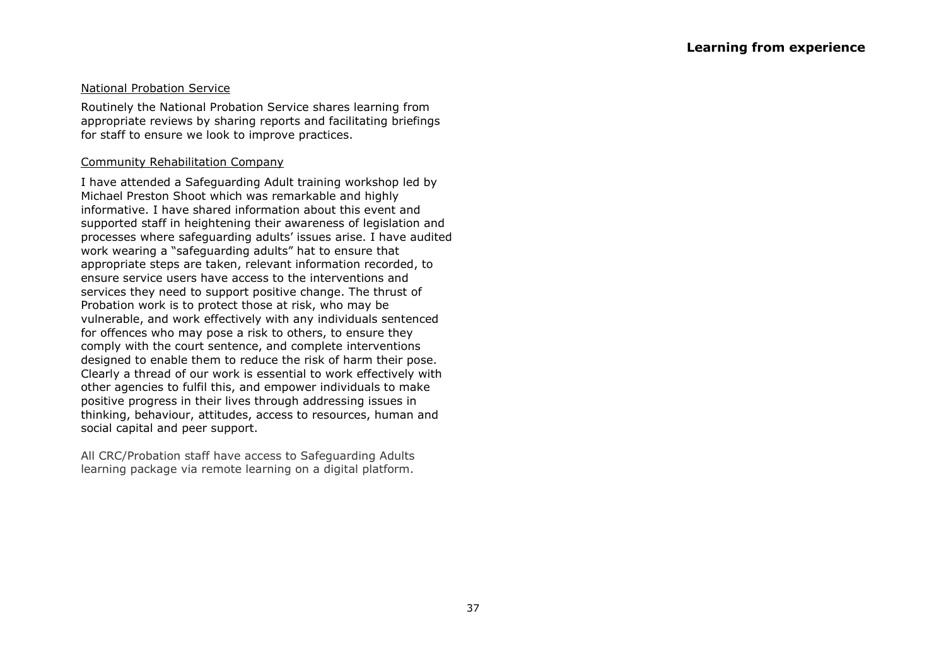#### National Probation Service

Routinely the National Probation Service shares learning from appropriate reviews by sharing reports and facilitating briefings for staff to ensure we look to improve practices.

#### Community Rehabilitation Company

I have attended a Safeguarding Adult training workshop led by Michael Preston Shoot which was remarkable and highly informative. I have shared information about this event and supported staff in heightening their awareness of legislation and processes where safeguarding adults' issues arise. I have audited work wearing a "safeguarding adults" hat to ensure that appropriate steps are taken, relevant information recorded, to ensure service users have access to the interventions and services they need to support positive change. The thrust of Probation work is to protect those at risk, who may be vulnerable, and work effectively with any individuals sentenced for offences who may pose a risk to others, to ensure they comply with the court sentence, and complete interventions designed to enable them to reduce the risk of harm their pose. Clearly a thread of our work is essential to work effectively with other agencies to fulfil this, and empower individuals to make positive progress in their lives through addressing issues in thinking, behaviour, attitudes, access to resources, human and social capital and peer support.

All CRC/Probation staff have access to Safeguarding Adults learning package via remote learning on a digital platform.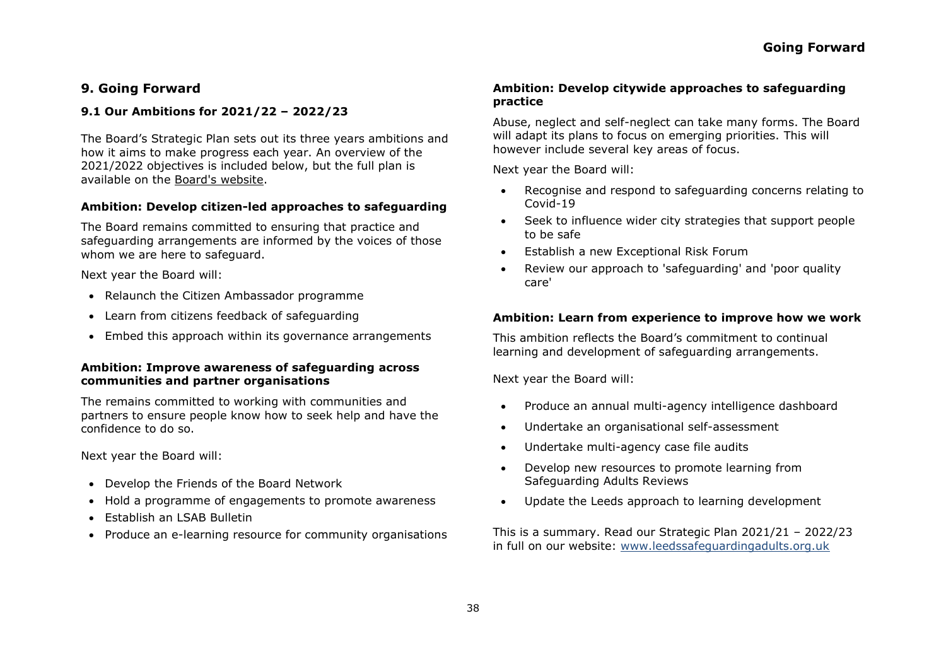## **9. Going Forward**

#### **9.1 Our Ambitions for 2021/22 – 2022/23**

The Board's Strategic Plan sets out its three years ambitions and how it aims to make progress each year. An overview of the 2021/2022 objectives is included below, but the full plan is available on the [Board's website.](https://leedssafeguardingadults.org.uk/)

#### **Ambition: Develop citizen-led approaches to safeguarding**

The Board remains committed to ensuring that practice and safeguarding arrangements are informed by the voices of those whom we are here to safeguard.

Next year the Board will:

- Relaunch the Citizen Ambassador programme
- Learn from citizens feedback of safeguarding
- Embed this approach within its governance arrangements

#### **Ambition: Improve awareness of safeguarding across communities and partner organisations**

The remains committed to working with communities and partners to ensure people know how to seek help and have the confidence to do so.

Next year the Board will:

- Develop the Friends of the Board Network
- Hold a programme of engagements to promote awareness
- Establish an LSAB Bulletin
- Produce an e-learning resource for community organisations

#### **Ambition: Develop citywide approaches to safeguarding practice**

Abuse, neglect and self-neglect can take many forms. The Board will adapt its plans to focus on emerging priorities. This will however include several key areas of focus.

Next year the Board will:

- Recognise and respond to safeguarding concerns relating to Covid-19
- Seek to influence wider city strategies that support people to be safe
- Establish a new Exceptional Risk Forum
- Review our approach to 'safeguarding' and 'poor quality care'

#### **Ambition: Learn from experience to improve how we work**

This ambition reflects the Board's commitment to continual learning and development of safeguarding arrangements.

Next year the Board will:

- Produce an annual multi-agency intelligence dashboard
- Undertake an organisational self-assessment
- Undertake multi-agency case file audits
- Develop new resources to promote learning from Safeguarding Adults Reviews
- Update the Leeds approach to learning development

This is a summary. Read our Strategic Plan 2021/21 – 2022/23 in full on our website: www.leedssafeguardingadults.org.uk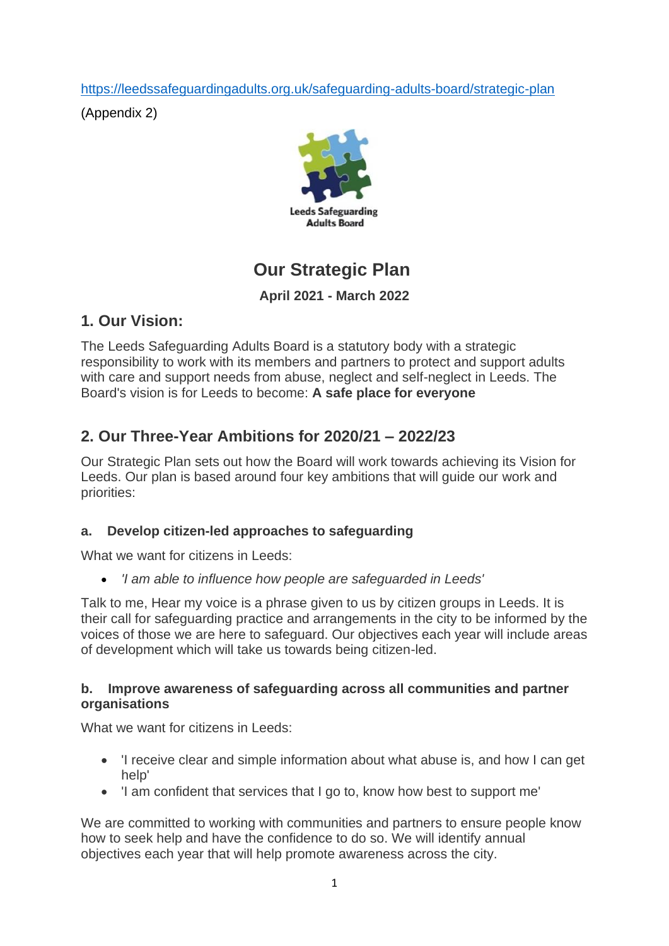<https://leedssafeguardingadults.org.uk/safeguarding-adults-board/strategic-plan>

(Appendix B)



# **Our Strategic Plan**

# **April 2021 - March 2022**

# **1. Our Vision:**

The Leeds Safeguarding Adults Board is a statutory body with a strategic responsibility to work with its members and partners to protect and support adults with care and support needs from abuse, neglect and self-neglect in Leeds. The Board's vision is for Leeds to become: **A safe place for everyone**

# **2. Our Three-Year Ambitions for 2020/21 – 2022/23**

Our Strategic Plan sets out how the Board will work towards achieving its Vision for Leeds. Our plan is based around four key ambitions that will guide our work and priorities:

# **a. Develop citizen-led approaches to safeguarding**

What we want for citizens in Leeds:

• *'I am able to influence how people are safeguarded in Leeds'*

Talk to me, Hear my voice is a phrase given to us by citizen groups in Leeds. It is their call for safeguarding practice and arrangements in the city to be informed by the voices of those we are here to safeguard. Our objectives each year will include areas of development which will take us towards being citizen-led.

# **b. Improve awareness of safeguarding across all communities and partner organisations**

What we want for citizens in Leeds:

- 'I receive clear and simple information about what abuse is, and how I can get help'
- 'I am confident that services that I go to, know how best to support me'

We are committed to working with communities and partners to ensure people know how to seek help and have the confidence to do so. We will identify annual objectives each year that will help promote awareness across the city.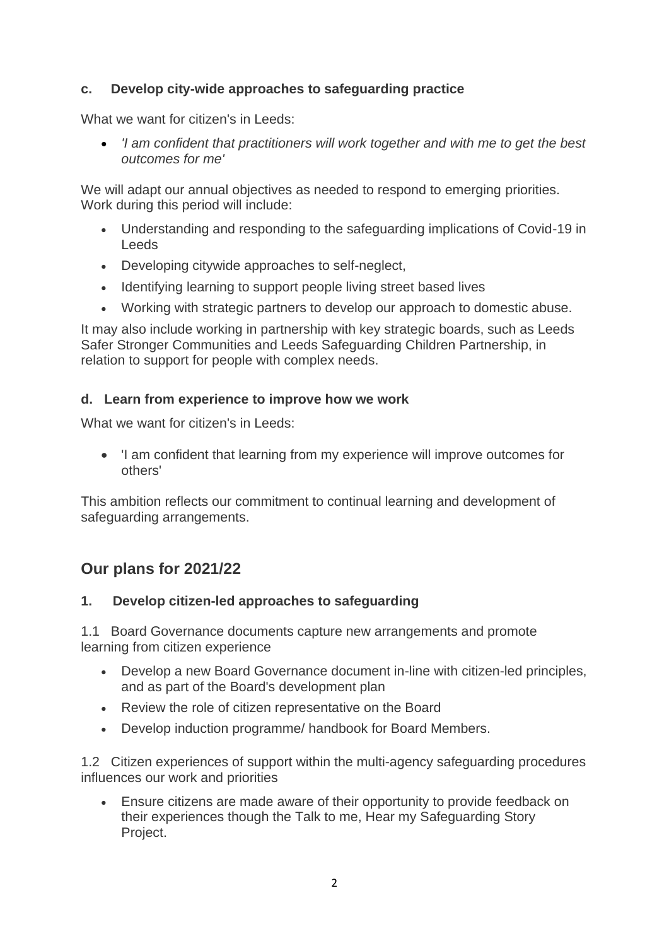# **c. Develop city-wide approaches to safeguarding practice**

What we want for citizen's in Leeds:

• *'I am confident that practitioners will work together and with me to get the best outcomes for me'*

We will adapt our annual objectives as needed to respond to emerging priorities. Work during this period will include:

- Understanding and responding to the safeguarding implications of Covid-19 in Leeds
- Developing citywide approaches to self-neglect,
- Identifying learning to support people living street based lives
- Working with strategic partners to develop our approach to domestic abuse.

It may also include working in partnership with key strategic boards, such as Leeds Safer Stronger Communities and Leeds Safeguarding Children Partnership, in relation to support for people with complex needs.

# **d. Learn from experience to improve how we work**

What we want for citizen's in Leeds:

• 'I am confident that learning from my experience will improve outcomes for others'

This ambition reflects our commitment to continual learning and development of safeguarding arrangements.

# **Our plans for 2021/22**

# **1. Develop citizen-led approaches to safeguarding**

1.1 Board Governance documents capture new arrangements and promote learning from citizen experience

- Develop a new Board Governance document in-line with citizen-led principles, and as part of the Board's development plan
- Review the role of citizen representative on the Board
- Develop induction programme/ handbook for Board Members.

1.2 Citizen experiences of support within the multi-agency safeguarding procedures influences our work and priorities

• Ensure citizens are made aware of their opportunity to provide feedback on their experiences though the Talk to me, Hear my Safeguarding Story Project.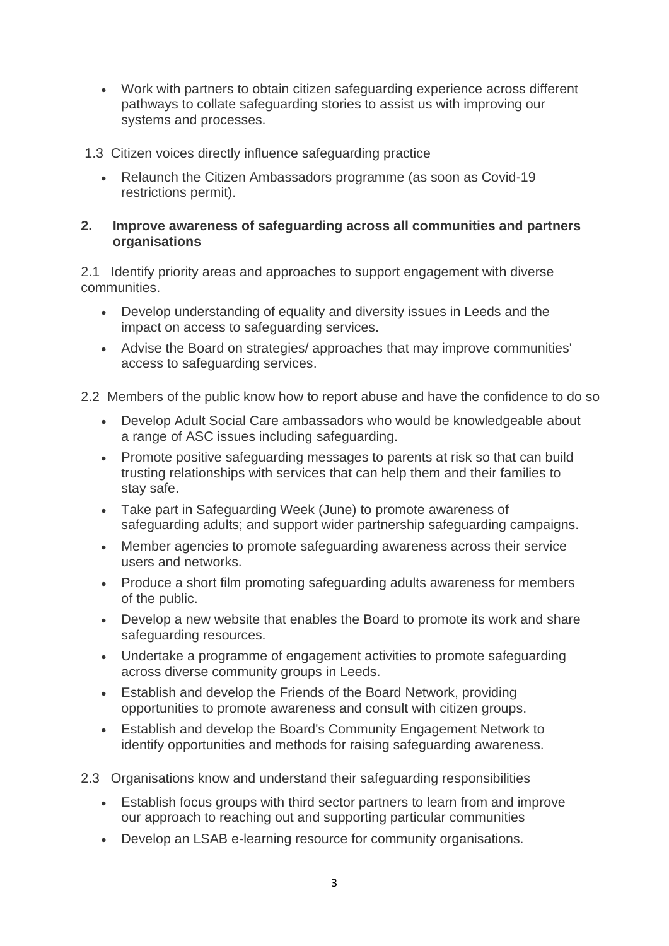• Work with partners to obtain citizen safeguarding experience across different pathways to collate safeguarding stories to assist us with improving our systems and processes.

# 1.3 Citizen voices directly influence safeguarding practice

• Relaunch the Citizen Ambassadors programme (as soon as Covid-19 restrictions permit).

# **2. Improve awareness of safeguarding across all communities and partners organisations**

2.1 Identify priority areas and approaches to support engagement with diverse communities.

- Develop understanding of equality and diversity issues in Leeds and the impact on access to safeguarding services.
- Advise the Board on strategies/ approaches that may improve communities' access to safeguarding services.

2.2 Members of the public know how to report abuse and have the confidence to do so

- Develop Adult Social Care ambassadors who would be knowledgeable about a range of ASC issues including safeguarding.
- Promote positive safeguarding messages to parents at risk so that can build trusting relationships with services that can help them and their families to stay safe.
- Take part in Safeguarding Week (June) to promote awareness of safeguarding adults; and support wider partnership safeguarding campaigns.
- Member agencies to promote safeguarding awareness across their service users and networks.
- Produce a short film promoting safeguarding adults awareness for members of the public.
- Develop a new website that enables the Board to promote its work and share safeguarding resources.
- Undertake a programme of engagement activities to promote safeguarding across diverse community groups in Leeds.
- Establish and develop the Friends of the Board Network, providing opportunities to promote awareness and consult with citizen groups.
- Establish and develop the Board's Community Engagement Network to identify opportunities and methods for raising safeguarding awareness.
- 2.3 Organisations know and understand their safeguarding responsibilities
	- Establish focus groups with third sector partners to learn from and improve our approach to reaching out and supporting particular communities
	- Develop an LSAB e-learning resource for community organisations.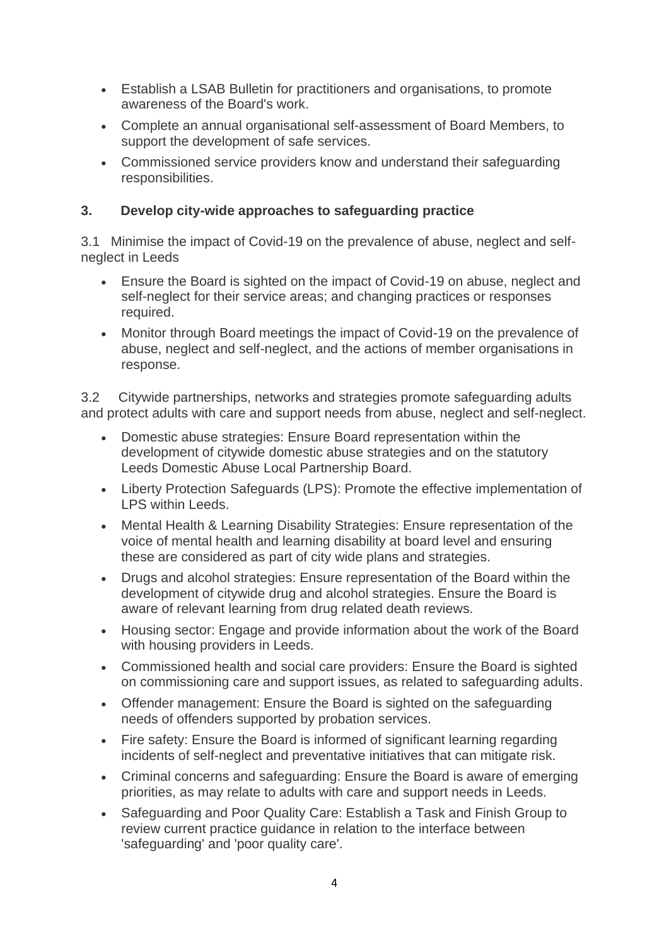- Establish a LSAB Bulletin for practitioners and organisations, to promote awareness of the Board's work.
- Complete an annual organisational self-assessment of Board Members, to support the development of safe services.
- Commissioned service providers know and understand their safeguarding responsibilities.

# **3. Develop city-wide approaches to safeguarding practice**

3.1 Minimise the impact of Covid-19 on the prevalence of abuse, neglect and selfneglect in Leeds

- Ensure the Board is sighted on the impact of Covid-19 on abuse, neglect and self-neglect for their service areas; and changing practices or responses required.
- Monitor through Board meetings the impact of Covid-19 on the prevalence of abuse, neglect and self-neglect, and the actions of member organisations in response.

3.2 Citywide partnerships, networks and strategies promote safeguarding adults and protect adults with care and support needs from abuse, neglect and self-neglect.

- Domestic abuse strategies: Ensure Board representation within the development of citywide domestic abuse strategies and on the statutory Leeds Domestic Abuse Local Partnership Board.
- Liberty Protection Safeguards (LPS): Promote the effective implementation of LPS within Leeds.
- Mental Health & Learning Disability Strategies: Ensure representation of the voice of mental health and learning disability at board level and ensuring these are considered as part of city wide plans and strategies.
- Drugs and alcohol strategies: Ensure representation of the Board within the development of citywide drug and alcohol strategies. Ensure the Board is aware of relevant learning from drug related death reviews.
- Housing sector: Engage and provide information about the work of the Board with housing providers in Leeds.
- Commissioned health and social care providers: Ensure the Board is sighted on commissioning care and support issues, as related to safeguarding adults.
- Offender management: Ensure the Board is sighted on the safeguarding needs of offenders supported by probation services.
- Fire safety: Ensure the Board is informed of significant learning regarding incidents of self-neglect and preventative initiatives that can mitigate risk.
- Criminal concerns and safeguarding: Ensure the Board is aware of emerging priorities, as may relate to adults with care and support needs in Leeds.
- Safeguarding and Poor Quality Care: Establish a Task and Finish Group to review current practice guidance in relation to the interface between 'safeguarding' and 'poor quality care'.